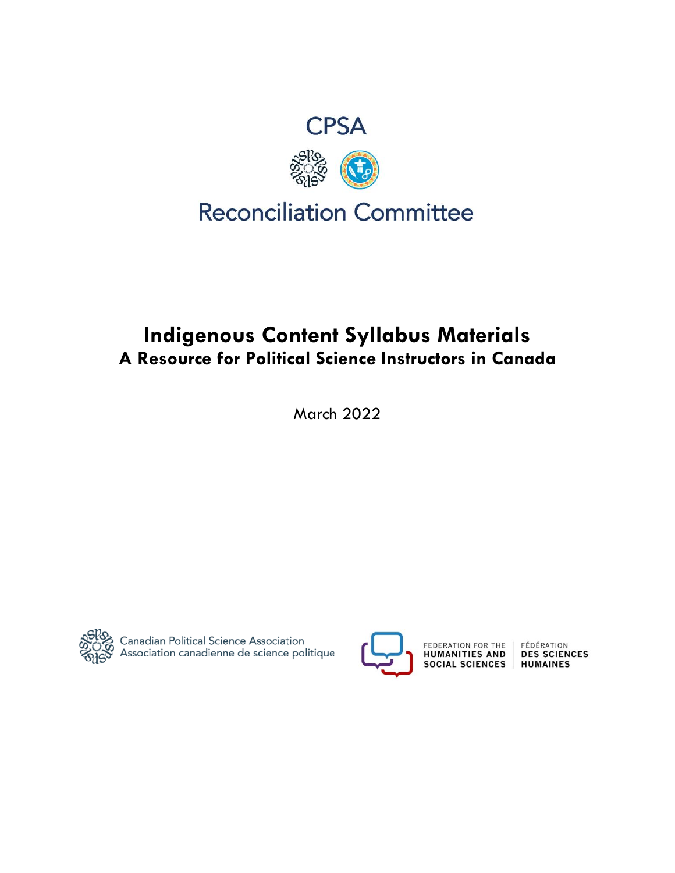

# **Indigenous Content Syllabus Materials A Resource for Political Science Instructors in Canada**

March 2022



္တမပ္လာ<br>တက္လိတ္တဲ့ Canadian Political Science Association<br>တြင္ဟာ Association canadienne de science politique



FEDERATION FOR THE HUMANITIES AND **SOCIAL SCIENCES** 

FÉDÉRATION<br>DES SCIENCES **HUMAINES**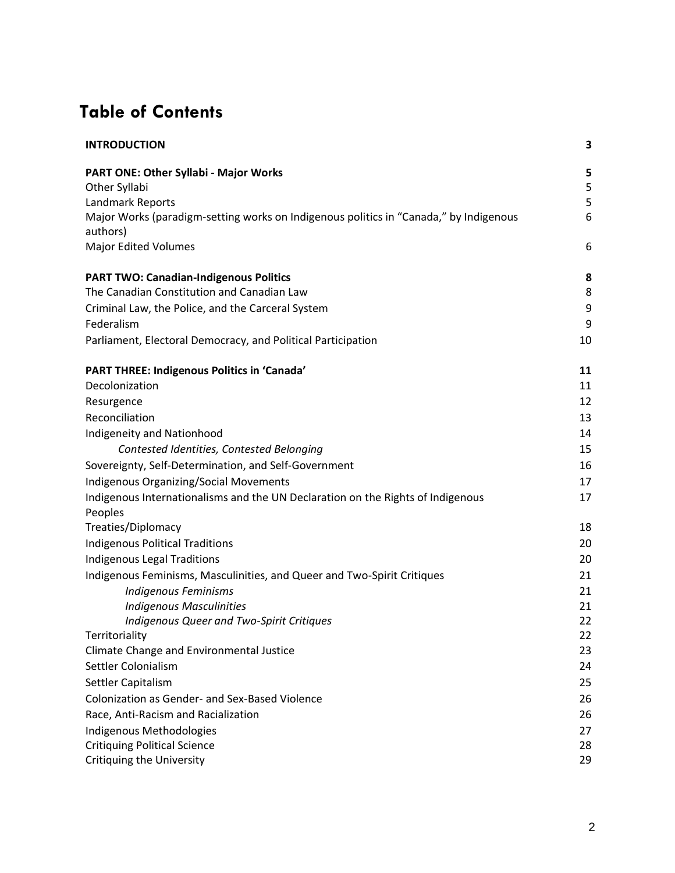# **Table of Contents**

| <b>INTRODUCTION</b>                                                                               | 3  |
|---------------------------------------------------------------------------------------------------|----|
| <b>PART ONE: Other Syllabi - Major Works</b>                                                      | 5  |
| Other Syllabi                                                                                     | 5  |
| Landmark Reports                                                                                  | 5  |
| Major Works (paradigm-setting works on Indigenous politics in "Canada," by Indigenous<br>authors) | 6  |
| <b>Major Edited Volumes</b>                                                                       | 6  |
| <b>PART TWO: Canadian-Indigenous Politics</b>                                                     | 8  |
| The Canadian Constitution and Canadian Law                                                        | 8  |
| Criminal Law, the Police, and the Carceral System                                                 | 9  |
| Federalism                                                                                        | 9  |
| Parliament, Electoral Democracy, and Political Participation                                      | 10 |
| PART THREE: Indigenous Politics in 'Canada'                                                       | 11 |
| Decolonization                                                                                    | 11 |
| Resurgence                                                                                        | 12 |
| Reconciliation                                                                                    | 13 |
| Indigeneity and Nationhood                                                                        | 14 |
| Contested Identities, Contested Belonging                                                         | 15 |
| Sovereignty, Self-Determination, and Self-Government                                              | 16 |
| <b>Indigenous Organizing/Social Movements</b>                                                     | 17 |
| Indigenous Internationalisms and the UN Declaration on the Rights of Indigenous<br>Peoples        | 17 |
| Treaties/Diplomacy                                                                                | 18 |
| <b>Indigenous Political Traditions</b>                                                            | 20 |
| Indigenous Legal Traditions                                                                       | 20 |
| Indigenous Feminisms, Masculinities, and Queer and Two-Spirit Critiques                           | 21 |
| <b>Indigenous Feminisms</b>                                                                       | 21 |
| <b>Indigenous Masculinities</b>                                                                   | 21 |
| Indigenous Queer and Two-Spirit Critiques                                                         | 22 |
| Territoriality                                                                                    | 22 |
| Climate Change and Environmental Justice                                                          | 23 |
| Settler Colonialism                                                                               | 24 |
| Settler Capitalism                                                                                | 25 |
| Colonization as Gender- and Sex-Based Violence                                                    | 26 |
| Race, Anti-Racism and Racialization                                                               | 26 |
| Indigenous Methodologies                                                                          | 27 |
| <b>Critiquing Political Science</b>                                                               | 28 |
| <b>Critiquing the University</b>                                                                  | 29 |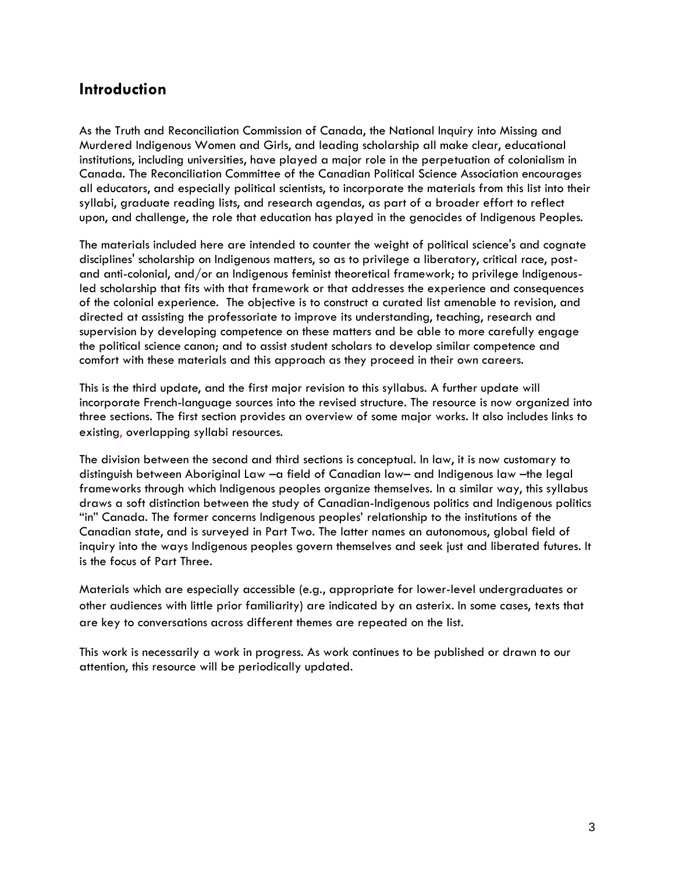## **Introduction**

As the Truth and Reconciliation Commission of Canada, the National Inquiry into Missing and Murdered Indigenous Women and Girls, and leading scholarship all make clear, educational institutions, including universities, have played a major role in the perpetuation of colonialism in Canada. The Reconciliation Committee of the Canadian Political Science Association encourages all educators, and especially political scientists, to incorporate the materials from this list into their syllabi, graduate reading lists, and research agendas, as part of a broader effort to reflect upon, and challenge, the role that education has played in the genocides of Indigenous Peoples.

The materials included here are intended to counter the weight of political science's and cognate disciplines' scholarship on Indigenous matters, so as to privilege a liberatory, critical race, postand anti-colonial, and/or an Indigenous feminist theoretical framework; to privilege Indigenousled scholarship that fits with that framework or that addresses the experience and consequences of the colonial experience. The objective is to construct a curated list amenable to revision, and directed at assisting the professoriate to improve its understanding, teaching, research and supervision by developing competence on these matters and be able to more carefully engage the political science canon; and to assist student scholars to develop similar competence and comfort with these materials and this approach as they proceed in their own careers.

This is the third update, and the first major revision to this syllabus. A further update will incorporate French-language sources into the revised structure. The resource is now organized into three sections. The first section provides an overview of some major works. It also includes links to existing, overlapping syllabi resources.

The division between the second and third sections is conceptual. In law, it is now customary to distinguish between Aboriginal Law –a field of Canadian law– and Indigenous law –the legal frameworks through which Indigenous peoples organize themselves. In a similar way, this syllabus draws a soft distinction between the study of Canadian-Indigenous politics and Indigenous politics "in" Canada. The former concerns Indigenous peoples' relationship to the institutions of the Canadian state, and is surveyed in Part Two. The latter names an autonomous, global field of inquiry into the ways Indigenous peoples govern themselves and seek just and liberated futures. It is the focus of Part Three.

Materials which are especially accessible (e.g., appropriate for lower-level undergraduates or other audiences with little prior familiarity) are indicated by an asterix. In some cases, texts that are key to conversations across different themes are repeated on the list.

This work is necessarily a work in progress. As work continues to be published or drawn to our attention, this resource will be periodically updated.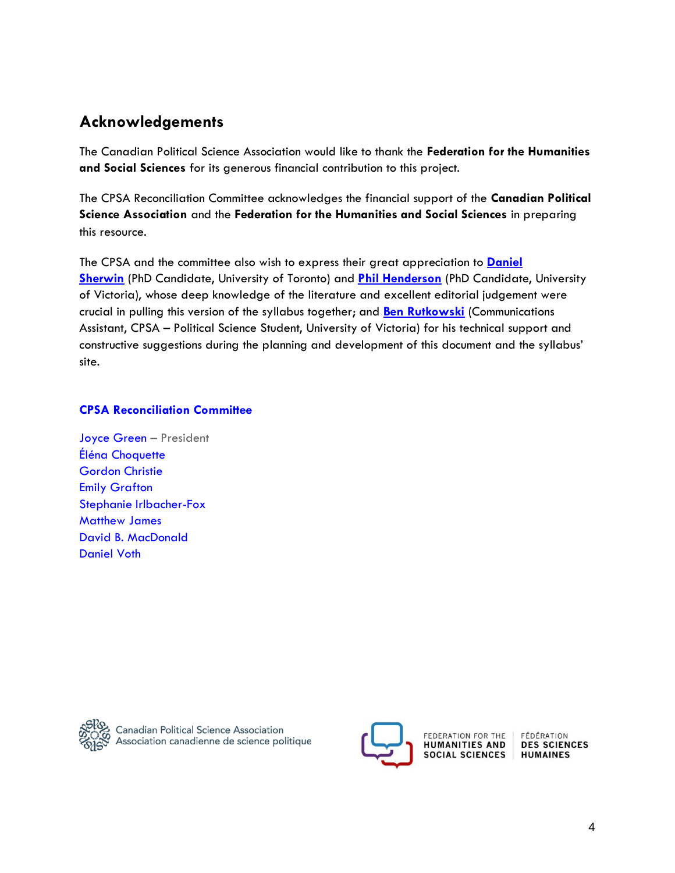## **Acknowledgements**

The Canadian Political Science Association would like to thank the **Federation for the Humanities and Social Sciences** for its generous financial contribution to this project.

The CPSA Reconciliation Committee acknowledges the financial support of the **Canadian Political Science Association** and the **Federation for the Humanities and Social Sciences** in preparing this resource.

The CPSA and the committee also wish to express their great appreciation to **[Daniel](/Users/Francisco/Desktop/WORKING%20ON%20IT/daniel.sherwin@mail.utoronto.ca)  [Sherwin](/Users/Francisco/Desktop/WORKING%20ON%20IT/daniel.sherwin@mail.utoronto.ca)** (PhD Candidate, University of Toronto) and **[Phil Henderson](/Users/Francisco/Desktop/WORKING%20ON%20IT/philhend@uvic.ca)** (PhD Candidate, University of Victoria), whose deep knowledge of the literature and excellent editorial judgement were crucial in pulling this version of the syllabus together; and **[Ben Rutkowski](/Users/Francisco/Desktop/WORKING%20ON%20IT/ben.rutkowski@cpsa-acsp.ca)** (Communications Assistant, CPSA – Political Science Student, University of Victoria) for his technical support and constructive suggestions during the planning and development of this document and the syllabus' site.

## **[CPSA Reconciliation Committee](https://cpsa-acsp.ca/trc/)**

[Joyce Green](https://www.uregina.ca/arts/politics-international-studies/faculty-staff/faculty/zzz-green-joyce.html) – President [Éléna Choquette](https://www.elenachoquette.ca/)  [Gordon Christie](https://allard.ubc.ca/about-us/our-people/gordon-christie) [Emily Grafton](https://www.uregina.ca/external/communications/feature-stories/current/2016/06-21.html) [Stephanie Irlbacher-Fox](https://carleton.ca/3ci/people/principal-investigator-and-project-director-lcac-modern-treaties-implementation-research-mtir-project/) [Matthew James](https://www.uvic.ca/socialsciences/politicalscience/people/directory/jamesmatt.php) [David B. MacDonald](https://www.davidbmacdonald.com/) [Daniel Voth](https://poli.ucalgary.ca/profiles/daniel-voth)



Canadian Political Science Association<br>Association canadienne de science politique



FEDERATION FOR THE **HUMANITIES AND SOCIAL SCIENCES** 

FÉDÉRATION **DES SCIENCES HUMAINES**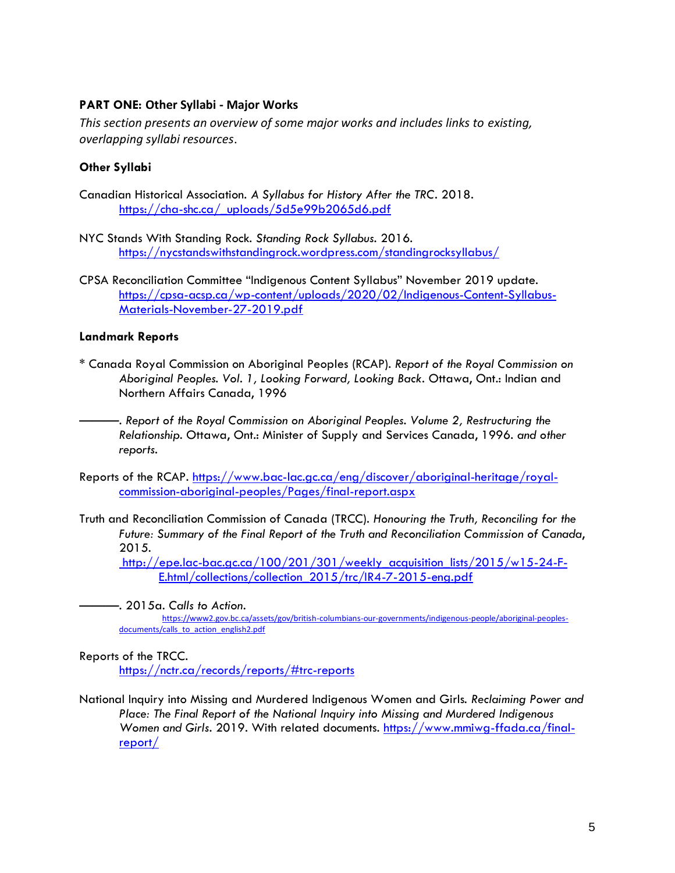## **PART ONE: Other Syllabi - Major Works**

*This section presents an overview of some major works and includes links to existing, overlapping syllabi resources*.

## **Other Syllabi**

- Canadian Historical Association. *A Syllabus for History After the TRC*. 2018. [https://cha-shc.ca/\\_uploads/5d5e99b2065d6.pdf](https://cha-shc.ca/_uploads/5d5e99b2065d6.pdf)
- NYC Stands With Standing Rock. *Standing Rock Syllabus.* 2016. <https://nycstandswithstandingrock.wordpress.com/standingrocksyllabus/>
- CPSA Reconciliation Committee "Indigenous Content Syllabus" November 2019 update. [https://cpsa-acsp.ca/wp-content/uploads/2020/02/Indigenous-Content-Syllabus-](https://cpsa-acsp.ca/wp-content/uploads/2020/02/Indigenous-Content-Syllabus-Materials-November-27-2019.pdf)[Materials-November-27-2019.pdf](https://cpsa-acsp.ca/wp-content/uploads/2020/02/Indigenous-Content-Syllabus-Materials-November-27-2019.pdf)

## **Landmark Reports**

- \* Canada Royal Commission on Aboriginal Peoples (RCAP). *Report of the Royal Commission on Aboriginal Peoples. Vol. 1, Looking Forward, Looking Back*. Ottawa, Ont.: Indian and Northern Affairs Canada, 1996
	- ———. *Report of the Royal Commission on Aboriginal Peoples. Volume 2, Restructuring the Relationship*. Ottawa, Ont.: Minister of Supply and Services Canada, 1996. *and other reports*.
- Reports of the RCAP. [https://www.bac-lac.gc.ca/eng/discover/aboriginal-heritage/royal](https://www.bac-lac.gc.ca/eng/discover/aboriginal-heritage/royal-commission-aboriginal-peoples/Pages/final-report.aspx)[commission-aboriginal-peoples/Pages/final-report.aspx](https://www.bac-lac.gc.ca/eng/discover/aboriginal-heritage/royal-commission-aboriginal-peoples/Pages/final-report.aspx)
- Truth and Reconciliation Commission of Canada (TRCC). *Honouring the Truth, Reconciling for the Future: Summary of the Final Report of the Truth and Reconciliation Commission of Canada*, 2015.

[http://epe.lac-bac.gc.ca/100/201/301/weekly\\_acquisition\\_lists/2015/w15-24-F-](http://epe.lac-bac.gc.ca/100/201/301/weekly_acquisition_lists/2015/w15-24-F-E.html/collections/collection_2015/trc/IR4-7-2015-eng.pdf)E.html/collections/collection 2015/trc/IR4-7-2015-eng.pdf

———. 2015a. *Calls to Action*. [https://www2.gov.bc.ca/assets/gov/british-columbians-our-governments/indigenous-people/aboriginal-peoples](https://www2.gov.bc.ca/assets/gov/british-columbians-our-governments/indigenous-people/aboriginal-peoples-documents/calls_to_action_english2.pdf)[documents/calls\\_to\\_action\\_english2.pdf](https://www2.gov.bc.ca/assets/gov/british-columbians-our-governments/indigenous-people/aboriginal-peoples-documents/calls_to_action_english2.pdf)

## Reports of the TRCC*.*

<https://nctr.ca/records/reports/#trc-reports>

National Inquiry into Missing and Murdered Indigenous Women and Girls. *Reclaiming Power and Place: The Final Report of the National Inquiry into Missing and Murdered Indigenous Women and Girls*. 2019. With related documents. [https://www.mmiwg-ffada.ca/final](https://www.mmiwg-ffada.ca/final-report/)[report/](https://www.mmiwg-ffada.ca/final-report/)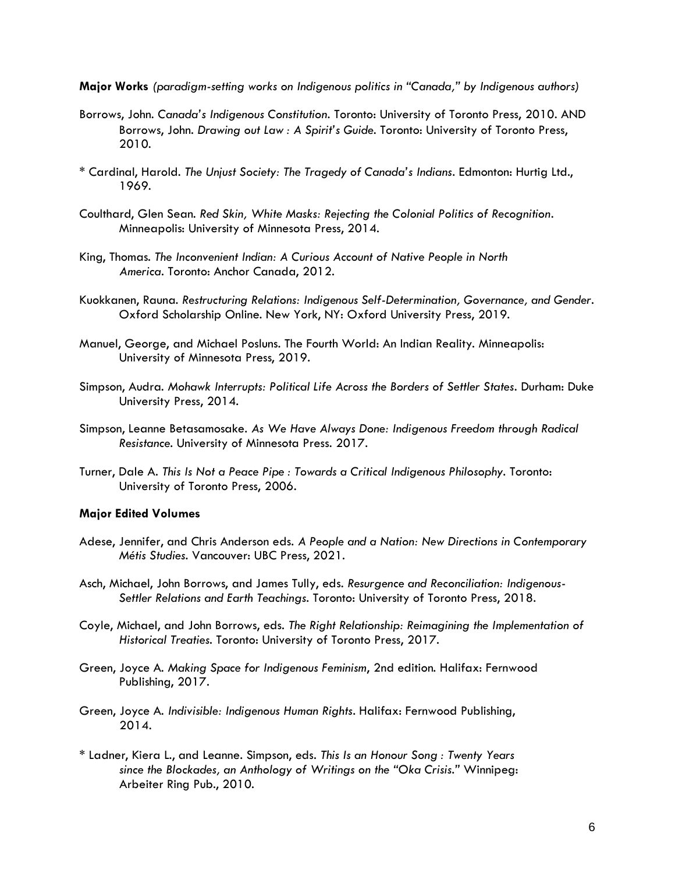**Major Works** *(paradigm-setting works on Indigenous politics in "Canada," by Indigenous authors)*

- Borrows, John. *Canada's Indigenous Constitution*. Toronto: University of Toronto Press, 2010. AND Borrows, John. *Drawing out Law : A Spirit's Guide*. Toronto: University of Toronto Press, 2010.
- \* Cardinal, Harold. *The Unjust Society: The Tragedy of Canada's Indians*. Edmonton: Hurtig Ltd., 1969.
- Coulthard, Glen Sean. *Red Skin, White Masks: Rejecting the Colonial Politics of Recognition*. Minneapolis: University of Minnesota Press, 2014.
- King, Thomas. *The Inconvenient Indian: A Curious Account of Native People in North America*. Toronto: Anchor Canada, 2012.
- Kuokkanen, Rauna. *Restructuring Relations: Indigenous Self-Determination, Governance, and Gender*. Oxford Scholarship Online. New York, NY: Oxford University Press, 2019.
- Manuel, George, and Michael Posluns. The Fourth World: An Indian Reality. Minneapolis: University of Minnesota Press, 2019.
- Simpson, Audra. *Mohawk Interrupts: Political Life Across the Borders of Settler States*. Durham: Duke University Press, 2014.
- Simpson, Leanne Betasamosake. *As We Have Always Done: Indigenous Freedom through Radical Resistance*. University of Minnesota Press. 2017.
- Turner, Dale A. *This Is Not a Peace Pipe : Towards a Critical Indigenous Philosophy*. Toronto: University of Toronto Press, 2006.

## **Major Edited Volumes**

- Adese, Jennifer, and Chris Anderson eds. *A People and a Nation: New Directions in Contemporary Métis Studies.* Vancouver: UBC Press, 2021.
- Asch, Michael, John Borrows, and James Tully, eds. *Resurgence and Reconciliation: Indigenous-Settler Relations and Earth Teachings*. Toronto: University of Toronto Press, 2018.
- Coyle, Michael, and John Borrows, eds. *The Right Relationship: Reimagining the Implementation of Historical Treaties*. Toronto: University of Toronto Press, 2017.
- Green, Joyce A. *Making Space for Indigenous Feminism*, 2nd edition. Halifax: Fernwood Publishing, 2017.
- Green, Joyce A. *Indivisible: Indigenous Human Rights*. Halifax: Fernwood Publishing, 2014.
- \* Ladner, Kiera L., and Leanne. Simpson, eds. *This Is an Honour Song : Twenty Years since the Blockades, an Anthology of Writings on the "Oka Crisis."* Winnipeg: Arbeiter Ring Pub., 2010.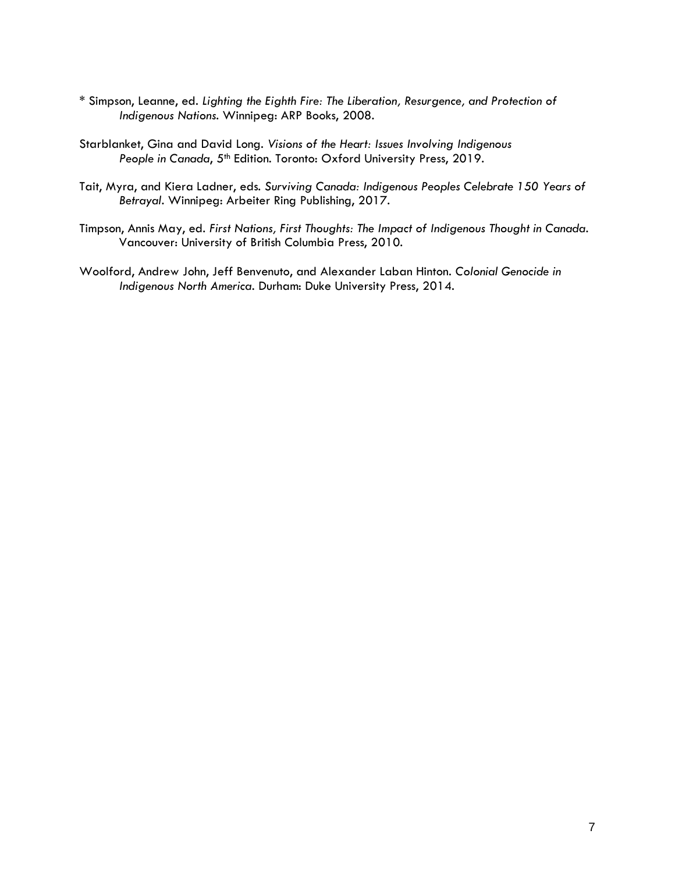- \* Simpson, Leanne, ed. *Lighting the Eighth Fire: The Liberation, Resurgence, and Protection of Indigenous Nations*. Winnipeg: ARP Books, 2008.
- Starblanket, Gina and David Long. *Visions of the Heart: Issues Involving Indigenous*  People in Canada, 5<sup>th</sup> Edition. Toronto: Oxford University Press, 2019.
- Tait, Myra, and Kiera Ladner, eds. *Surviving Canada: Indigenous Peoples Celebrate 150 Years of Betrayal*. Winnipeg: Arbeiter Ring Publishing, 2017.
- Timpson, Annis May, ed. *First Nations, First Thoughts: The Impact of Indigenous Thought in Canada*. Vancouver: University of British Columbia Press, 2010.
- Woolford, Andrew John, Jeff Benvenuto, and Alexander Laban Hinton. *Colonial Genocide in Indigenous North America*. Durham: Duke University Press, 2014.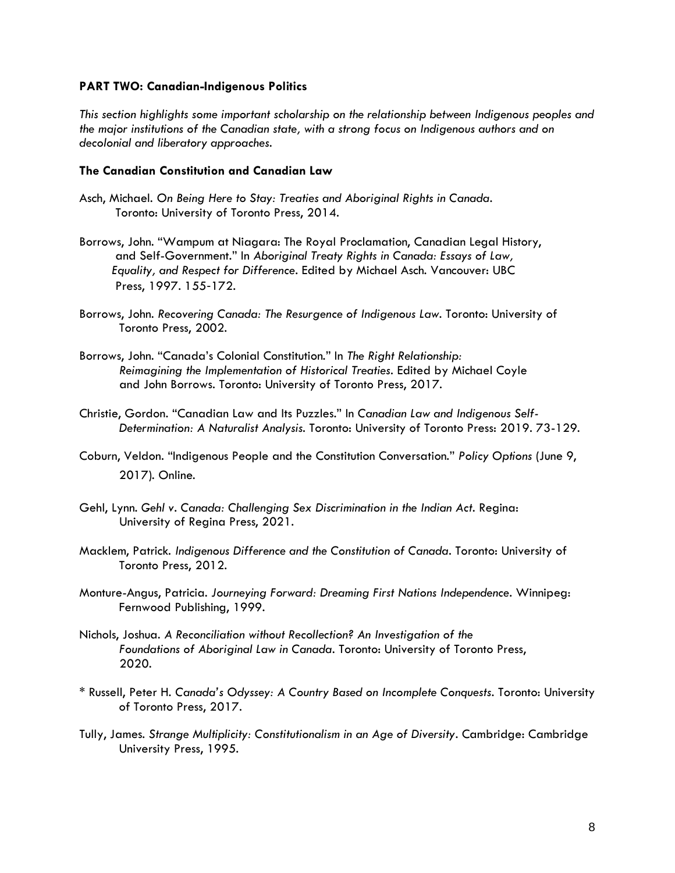#### **PART TWO: Canadian-Indigenous Politics**

*This section highlights some important scholarship on the relationship between Indigenous peoples and the major institutions of the Canadian state, with a strong focus on Indigenous authors and on decolonial and liberatory approaches.* 

### **The Canadian Constitution and Canadian Law**

- Asch, Michael. *On Being Here to Stay: Treaties and Aboriginal Rights in Canada*. Toronto: University of Toronto Press, 2014.
- Borrows, John. "Wampum at Niagara: The Royal Proclamation, Canadian Legal History, and Self-Government." In *Aboriginal Treaty Rights in Canada: Essays of Law, Equality, and Respect for Difference*. Edited by Michael Asch. Vancouver: UBC Press, 1997. 155‐172.
- Borrows, John. *Recovering Canada: The Resurgence of Indigenous Law*. Toronto: University of Toronto Press, 2002.
- Borrows, John. "Canada's Colonial Constitution." In *The Right Relationship: Reimagining the Implementation of Historical Treaties*. Edited by Michael Coyle and John Borrows. Toronto: University of Toronto Press, 2017[.](http://myaccess.library.utoronto.ca/login?url=http://books.scholarsportal.info/viewdoc.html?id=/ebooks/ebooks3/utpress/2017-07-05/1/9781442630222)
- Christie, Gordon. "Canadian Law and Its Puzzles." In *Canadian Law and Indigenous Self-Determination: A Naturalist Analysis*. Toronto: University of Toronto Press: 2019. 73-129.
- Coburn, Veldon. "Indigenous People and the Constitution Conversation." *Policy Options* (June 9, 2017). Online.
- Gehl, Lynn. *Gehl v. Canada: Challenging Sex Discrimination in the Indian Act*. Regina: University of Regina Press, 2021.
- Macklem, Patrick. *Indigenous Difference and the Constitution of Canada*. Toronto: University of Toronto Press, 2012[.](http://myaccess.library.utoronto.ca/login?url=http://books.scholarsportal.info/viewdoc.html?id=/ebooks/ebooks3/utpress/2015-01-14/1/9781442627901)
- Monture-Angus, Patricia. *Journeying Forward: Dreaming First Nations Independence*. Winnipeg: Fernwood Publishing, 1999.
- Nichols, Joshua. *A Reconciliation without Recollection? An Investigation of the Foundations of Aboriginal Law in Canada*. Toronto: University of Toronto Press, 2020.
- \* Russell, Peter H. *Canada's Odyssey: A Country Based on Incomplete Conquests*. Toronto: University of Toronto Press, 2017.
- Tully, James. *Strange Multiplicity: Constitutionalism in an Age of Diversity*. Cambridge: Cambridge University Press, 1995.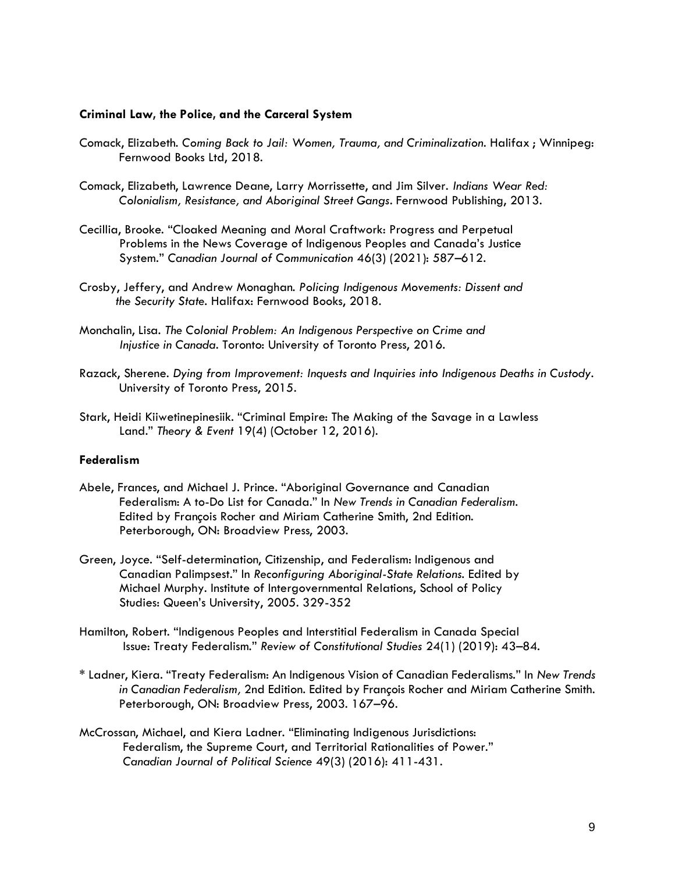#### **Criminal Law, the Police, and the Carceral System**

- Comack, Elizabeth. *Coming Back to Jail: Women, Trauma, and Criminalization*. Halifax ; Winnipeg: Fernwood Books Ltd, 2018.
- Comack, Elizabeth, Lawrence Deane, Larry Morrissette, and Jim Silver. *Indians Wear Red: Colonialism, Resistance, and Aboriginal Street Gangs*. Fernwood Publishing, 2013.
- Cecillia, Brooke. "Cloaked Meaning and Moral Craftwork: Progress and Perpetual Problems in the News Coverage of Indigenous Peoples and Canada's Justice System." *Canadian Journal of Communication* 46(3) (2021): 587–612.
- Crosby, Jeffery, and Andrew Monaghan. *Policing Indigenous Movements: Dissent and the Security State*. Halifax: Fernwood Books, 2018.
- Monchalin, Lisa. *The Colonial Problem: An Indigenous Perspective on Crime and Injustice in Canada*. Toronto: University of Toronto Press, 2016.
- Razack, Sherene. *Dying from Improvement: Inquests and Inquiries into Indigenous Deaths in Custody*. University of Toronto Press, 2015.
- Stark, Heidi Kiiwetinepinesiik. "Criminal Empire: The Making of the Savage in a Lawless Land." *Theory & Event* 19(4) (October 12, 2016)[.](https://muse-jhu-edu.myaccess.library.utoronto.ca/article/633282)

#### **Federalism**

- Abele, Frances, and Michael J. Prince. "Aboriginal Governance and Canadian Federalism: A to-Do List for Canada." In *New Trends in Canadian Federalism*. Edited by François Rocher and Miriam Catherine Smith, 2nd Edition. Peterborough, ON: Broadview Press, 2003.
- Green, Joyce. "Self-determination, Citizenship, and Federalism: Indigenous and Canadian Palimpsest." In *Reconfiguring Aboriginal-State Relations*. Edited by Michael Murphy. Institute of Intergovernmental Relations, School of Policy Studies: Queen's University, 2005. 329-352
- Hamilton, Robert. "Indigenous Peoples and Interstitial Federalism in Canada Special Issue: Treaty Federalism." *Review of Constitutional Studies* 24(1) (2019): 43–84.
- \* Ladner, Kiera. "Treaty Federalism: An Indigenous Vision of Canadian Federalisms." In *New Trends in Canadian Federalism,* 2nd Edition. Edited by François Rocher and Miriam Catherine Smith. Peterborough, ON: Broadview Press, 2003. 167–96.
- McCrossan, Michael, and Kiera Ladner. "Eliminating Indigenous Jurisdictions: Federalism, the Supreme Court, and Territorial Rationalities of Power." *Canadian Journal of Political Science* 49(3) (2016): 411-431.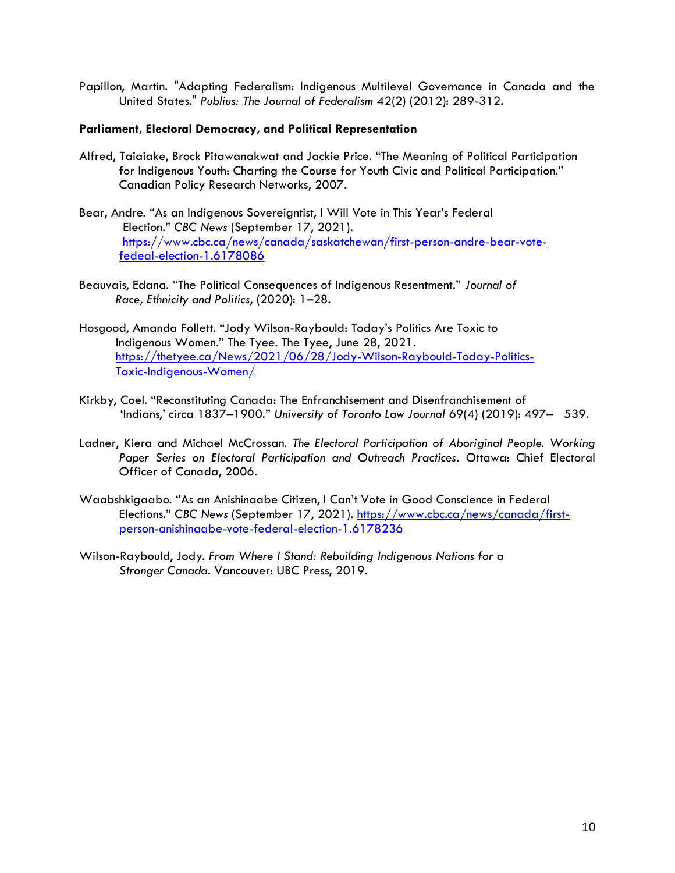Papillon, Martin. "Adapting Federalism: Indigenous Multilevel Governance in Canada and the United States." *Publius: The Journal of Federalism* 42(2) (2012): 289-312.

### **Parliament, Electoral Democracy, and Political Representation**

- Alfred, Taiaiake, Brock Pitawanakwat and Jackie Price. "The Meaning of Political Participation for Indigenous Youth: Charting the Course for Youth Civic and Political Participation." Canadian Policy Research Networks, 2007.
- Bear, Andre. "As an Indigenous Sovereigntist, I Will Vote in This Year's Federal Election." *CBC News* (September 17, 2021)[.](https://www.cbc.ca/news/canada/saskatchewan/first-person-andre-bear-vote-fedeal-election-1.6178086)  [https://www.cbc.ca/news/canada/saskatchewan/first-person-andre-bear-vote](https://www.cbc.ca/news/canada/saskatchewan/first-person-andre-bear-vote-%20%20%20%20%20%20%20%20%20%20fedeal-election-1.6178086)[fedeal-election-1.6178086](https://www.cbc.ca/news/canada/saskatchewan/first-person-andre-bear-vote-%20%20%20%20%20%20%20%20%20%20fedeal-election-1.6178086)
- Beauvais, Edana. "The Political Consequences of Indigenous Resentment." *Journal of Race, Ethnicity and Politics*, (2020): 1–28.
- Hosgood, Amanda Follett. "Jody Wilson-Raybould: Today's Politics Are Toxic to Indigenous Women." The Tyee. The Tyee, June 28, 2021[.](https://thetyee.ca/News/2021/06/28/Jody-Wilson-Raybould-Today-Politics-Toxic-Indigenous-Women/) [https://thetyee.ca/News/2021/06/28/Jody-Wilson-Raybould-Today-Politics-](https://thetyee.ca/News/2021/06/28/Jody-Wilson-Raybould-Today-Politics-%20%20%20%20%20%20%20%20%20%20%20%20%20%20Toxic-Indigenous-Women/)[Toxic-Indigenous-Women/](https://thetyee.ca/News/2021/06/28/Jody-Wilson-Raybould-Today-Politics-%20%20%20%20%20%20%20%20%20%20%20%20%20%20Toxic-Indigenous-Women/)
- Kirkby, Coel. "Reconstituting Canada: The Enfranchisement and Disenfranchisement of 'Indians,' circa 1837–1900." *University of Toronto Law Journal* 69(4) (2019): 497– 539.
- Ladner, Kiera and Michael McCrossan. *The Electoral Participation of Aboriginal People. Working Paper Series on Electoral Participation and Outreach Practices*. Ottawa: Chief Electoral Officer of Canada, 2006.
- Waabshkigaabo. "As an Anishinaabe Citizen, I Can't Vote in Good Conscience in Federal Elections." *CBC News* (September 17, 2021[\).](https://www.cbc.ca/news/canada/first-person-anishinaabe-vote-federal-election-1.6178236) [https://www.cbc.ca/news/canada/first](https://www.cbc.ca/news/canada/first-person-anishinaabe-vote-federal-election-1.6178236)[person-anishinaabe-vote-federal-election-1.6178236](https://www.cbc.ca/news/canada/first-person-anishinaabe-vote-federal-election-1.6178236)
- Wilson-Raybould, Jody. *From Where I Stand: Rebuilding Indigenous Nations for a Stronger Canada*. Vancouver: UBC Press, 2019.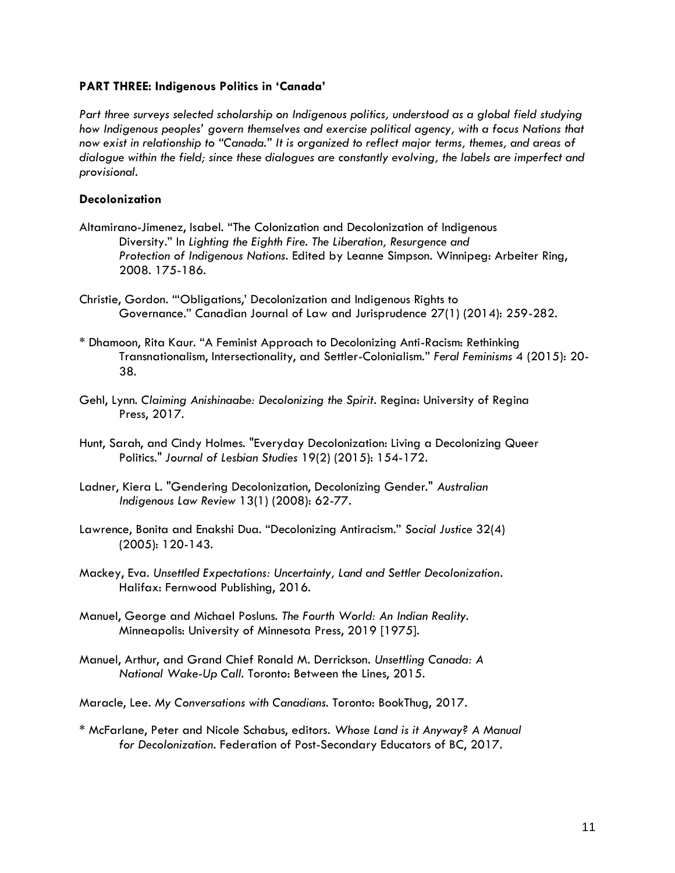## **PART THREE: Indigenous Politics in 'Canada'**

*Part three surveys selected scholarship on Indigenous politics, understood as a global field studying how Indigenous peoples' govern themselves and exercise political agency, with a focus Nations that now exist in relationship to "Canada." It is organized to reflect major terms, themes, and areas of dialogue within the field; since these dialogues are constantly evolving, the labels are imperfect and provisional.*

## **Decolonization**

- Altamirano-Jimenez, Isabel. "The Colonization and Decolonization of Indigenous Diversity." In *Lighting the Eighth Fire. The Liberation, Resurgence and Protection of Indigenous Nations*. Edited by Leanne Simpson. Winnipeg: Arbeiter Ring, 2008. 175-186.
- Christie, Gordon. "'Obligations,' Decolonization and Indigenous Rights to Governance." Canadian Journal of Law and Jurisprudence 27(1) (2014): 259-282.
- \* Dhamoon, Rita Kaur. "A Feminist Approach to Decolonizing Anti-Racism: Rethinking Transnationalism, Intersectionality, and Settler-Colonialism." *Feral Feminisms* 4 (2015): 20- 38.
- Gehl, Lynn. *Claiming Anishinaabe: Decolonizing the Spirit*. Regina: University of Regina Press, 2017.
- Hunt, Sarah, and Cindy Holmes. "Everyday Decolonization: Living a Decolonizing Queer Politics." *Journal of Lesbian Studies* 19(2) (2015): 154-172.
- Ladner, Kiera L. "Gendering Decolonization, Decolonizing Gender." *Australian Indigenous Law Review* 13(1) (2008): 62-77.
- Lawrence, Bonita and Enakshi Dua. "Decolonizing Antiracism." *Social Justice* 32(4) (2005): 120-143.
- Mackey, Eva. *Unsettled Expectations: Uncertainty, Land and Settler Decolonization*. Halifax: Fernwood Publishing, 2016.
- Manuel, George and Michael Posluns. *The Fourth World: An Indian Reality*. Minneapolis: University of Minnesota Press, 2019 [1975].
- Manuel, Arthur, and Grand Chief Ronald M. Derrickson. *Unsettling Canada: A National Wake-Up Call*. Toronto: Between the Lines, 2015.
- Maracle, Lee. *My Conversations with Canadians*. Toronto: BookThug, 2017.
- \* McFarlane, Peter and Nicole Schabus, editors. *Whose Land is it Anyway? A Manual for Decolonization*. Federation of Post-Secondary Educators of BC, 2017.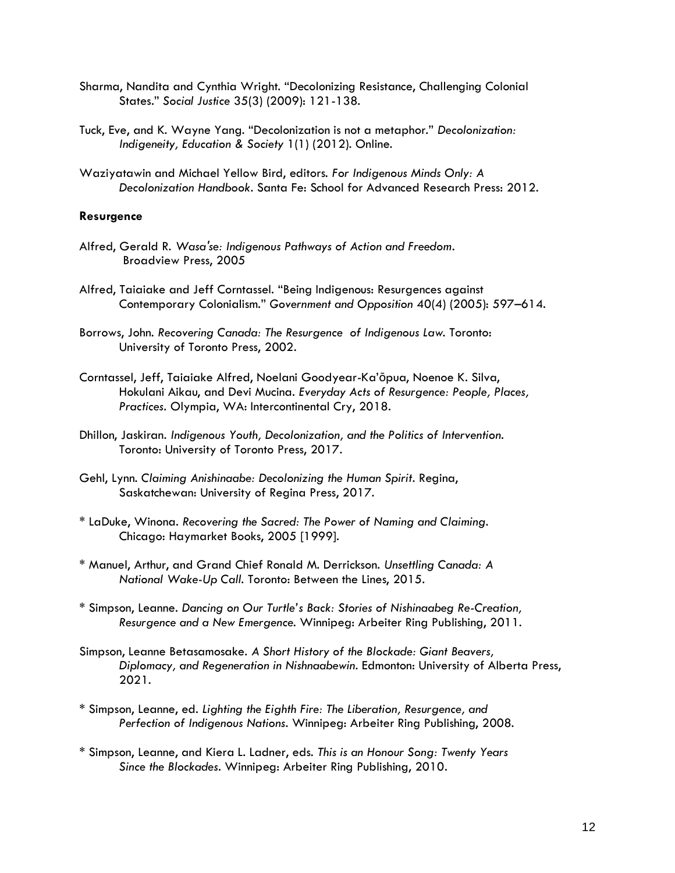- Sharma, Nandita and Cynthia Wright. "Decolonizing Resistance, Challenging Colonial States." *Social Justice* 35(3) (2009): 121-138.
- Tuck, Eve, and K. Wayne Yang. "Decolonization is not a metaphor." *Decolonization: Indigeneity, Education & Society* 1(1) (2012). Online.
- Waziyatawin and Michael Yellow Bird, editors. *For Indigenous Minds Only: A Decolonization Handbook*. Santa Fe: School for Advanced Research Press: 2012.

#### **Resurgence**

- Alfred, Gerald R. *Wasaʹse: Indigenous Pathways of Action and Freedom*. Broadview Press, 2005
- Alfred, Taiaiake and Jeff Corntassel. "Being Indigenous: Resurgences against Contemporary Colonialism." *Government and Opposition* 40(4) (2005): 597–614.
- Borrows, John. *Recovering Canada: The Resurgence of Indigenous Law*. Toronto: University of Toronto Press, 2002.
- Corntassel, Jeff, Taiaiake Alfred, Noelani Goodyear-Ka'ōpua, Noenoe K. Silva, Hokulani Aikau, and Devi Mucina. *Everyday Acts of Resurgence: People, Places, Practices.* Olympia, WA: Intercontinental Cry, 2018.
- Dhillon, Jaskiran. *Indigenous Youth, Decolonization, and the Politics of Intervention.*  Toronto: University of Toronto Press, 2017.
- Gehl, Lynn. *Claiming Anishinaabe: Decolonizing the Human Spirit*. Regina, Saskatchewan: University of Regina Press, 2017.
- \* LaDuke, Winona. *Recovering the Sacred: The Power of Naming and Claiming*. Chicago: Haymarket Books, 2005 [1999].
- \* Manuel, Arthur, and Grand Chief Ronald M. Derrickson. *Unsettling Canada: A National Wake-Up Call*. Toronto: Between the Lines, 2015.
- \* Simpson, Leanne. *Dancing on Our Turtle's Back: Stories of Nishinaabeg Re-Creation, Resurgence and a New Emergence*. Winnipeg: Arbeiter Ring Publishing, 2011.
- Simpson, Leanne Betasamosake. *A Short History of the Blockade: Giant Beavers, Diplomacy, and Regeneration in Nishnaabewin*. Edmonton: University of Alberta Press, 2021.
- \* Simpson, Leanne, ed. *Lighting the Eighth Fire: The Liberation, Resurgence, and Perfection of Indigenous Nations*. Winnipeg: Arbeiter Ring Publishing, 2008.
- \* Simpson, Leanne, and Kiera L. Ladner, eds. *This is an Honour Song: Twenty Years Since the Blockades*. Winnipeg: Arbeiter Ring Publishing, 2010.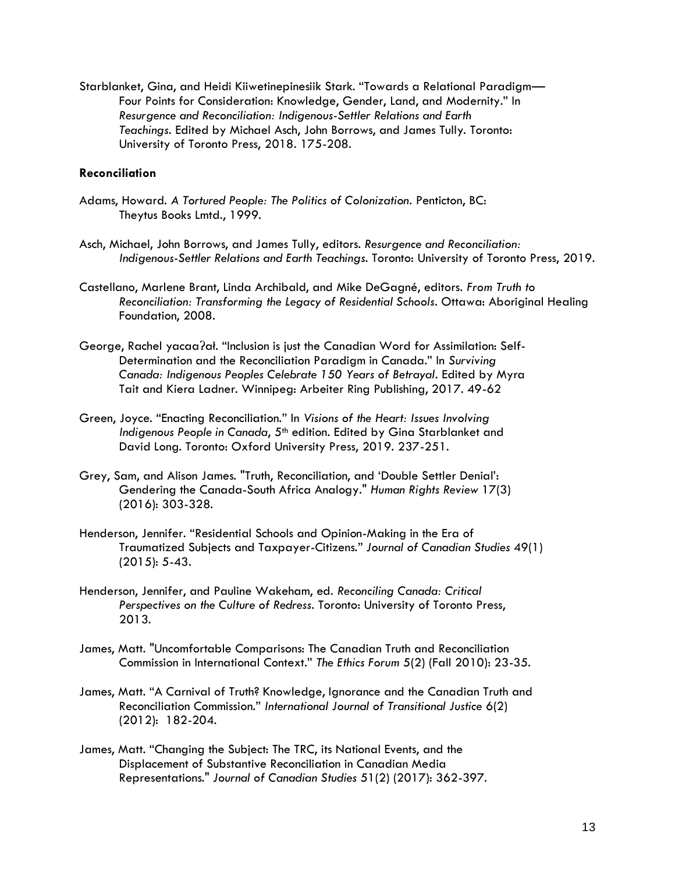Starblanket, Gina, and Heidi Kiiwetinepinesiik Stark. "Towards a Relational Paradigm— Four Points for Consideration: Knowledge, Gender, Land, and Modernity." In *Resurgence and Reconciliation: Indigenous-Settler Relations and Earth Teachings*. Edited by Michael Asch, John Borrows, and James Tully. Toronto: University of Toronto Press, 2018. 175-208.

## **Reconciliation**

- Adams, Howard. *A Tortured People: The Politics of Colonization*. Penticton, BC: Theytus Books Lmtd., 1999.
- Asch, Michael, John Borrows, and James Tully, editors. *Resurgence and Reconciliation: Indigenous-Settler Relations and Earth Teachings*. Toronto: University of Toronto Press, 2019.
- Castellano, Marlene Brant, Linda Archibald, and Mike DeGagné, editors. *From Truth to Reconciliation: Transforming the Legacy of Residential Schools*. Ottawa: Aboriginal Healing Foundation, 2008.
- George, Rachel yacaaʔał. "Inclusion is just the Canadian Word for Assimilation: Self-Determination and the Reconciliation Paradigm in Canada." In *Surviving Canada: Indigenous Peoples Celebrate 150 Years of Betrayal*. Edited by Myra Tait and Kiera Ladner. Winnipeg: Arbeiter Ring Publishing, 2017. 49-62
- Green, Joyce. "Enacting Reconciliation." In *Visions of the Heart: Issues Involving Indigenous People in Canada,* 5<sup>th</sup> edition. Edited by Gina Starblanket and David Long. Toronto: Oxford University Press, 2019. 237-251.
- Grey, Sam, and Alison James. "Truth, Reconciliation, and 'Double Settler Denial': Gendering the Canada-South Africa Analogy." *Human Rights Review* 17(3) (2016): 303-328.
- Henderson, Jennifer. "Residential Schools and Opinion-Making in the Era of Traumatized Subjects and Taxpayer-Citizens." *Journal of Canadian Studies* 49(1) (2015): 5-43.
- Henderson, Jennifer, and Pauline Wakeham, ed. *Reconciling Canada: Critical Perspectives on the Culture of Redress*. Toronto: University of Toronto Press, 2013.
- James, Matt. "Uncomfortable Comparisons: The Canadian Truth and Reconciliation Commission in International Context." *The Ethics Forum* 5(2) (Fall 2010): 23-35.
- James, Matt. "A Carnival of Truth? Knowledge, Ignorance and the Canadian Truth and Reconciliation Commission." *International Journal of Transitional Justice* 6(2) (2012): 182-204.
- James, Matt. "Changing the Subject: The TRC, its National Events, and the Displacement of Substantive Reconciliation in Canadian Media Representations." *Journal of Canadian Studies* 51(2) (2017): 362-397.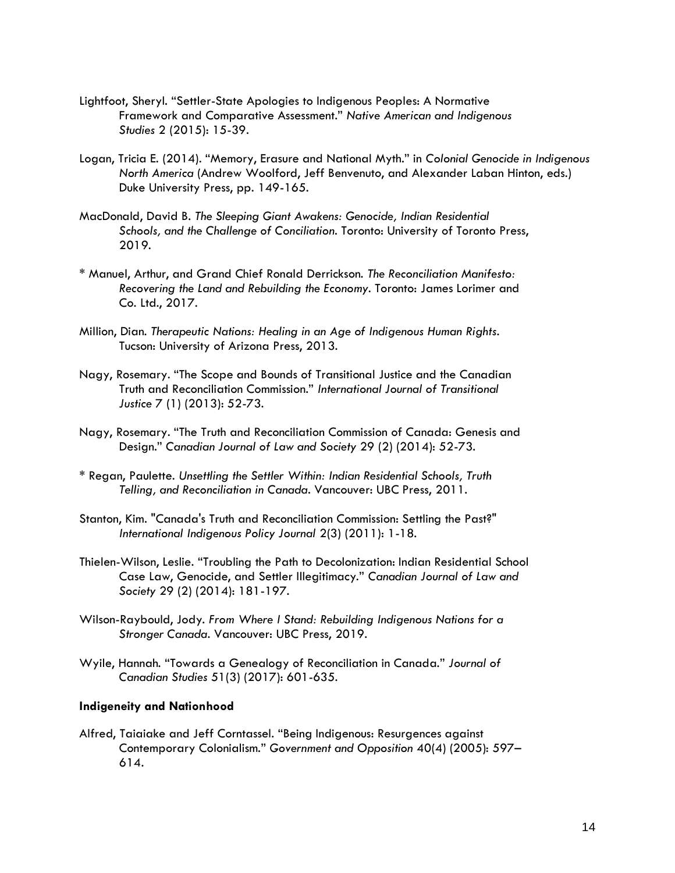- Lightfoot, Sheryl. "Settler-State Apologies to Indigenous Peoples: A Normative Framework and Comparative Assessment." *Native American and Indigenous Studies* 2 (2015): 15-39.
- Logan, Tricia E. (2014). "Memory, Erasure and National Myth." in *Colonial Genocide in Indigenous North America* (Andrew Woolford, Jeff Benvenuto, and Alexander Laban Hinton, eds.) Duke University Press, pp. 149-165.
- MacDonald, David B. *The Sleeping Giant Awakens: Genocide, Indian Residential Schools, and the Challenge of Conciliation*. Toronto: University of Toronto Press, 2019.
- \* Manuel, Arthur, and Grand Chief Ronald Derrickson. *The Reconciliation Manifesto: Recovering the Land and Rebuilding the Economy*. Toronto: James Lorimer and Co. Ltd., 2017.
- Million, Dian. *Therapeutic Nations: Healing in an Age of Indigenous Human Rights*. Tucson: University of Arizona Press, 2013.
- Nagy, Rosemary. "The Scope and Bounds of Transitional Justice and the Canadian Truth and Reconciliation Commission." *International Journal of Transitional Justice* 7 (1) (2013): 52-73.
- Nagy, Rosemary. "The Truth and Reconciliation Commission of Canada: Genesis and Design." *Canadian Journal of Law and Society* 29 (2) (2014): 52-73.
- \* Regan, Paulette. *Unsettling the Settler Within: Indian Residential Schools, Truth Telling, and Reconciliation in Canada*. Vancouver: UBC Press, 2011.
- Stanton, Kim. "Canada's Truth and Reconciliation Commission: Settling the Past?" *International Indigenous Policy Journal* 2(3) (2011): 1-18.
- Thielen-Wilson, Leslie. "Troubling the Path to Decolonization: Indian Residential School Case Law, Genocide, and Settler Illegitimacy." *Canadian Journal of Law and Society* 29 (2) (2014): 181-197.
- Wilson-Raybould, Jody. *From Where I Stand: Rebuilding Indigenous Nations for a Stronger Canada*. Vancouver: UBC Press, 2019.
- Wyile, Hannah. "Towards a Genealogy of Reconciliation in Canada." *Journal of Canadian Studies* 51(3) (2017): 601-635.

## **Indigeneity and Nationhood**

Alfred, Taiaiake and Jeff Corntassel. "Being Indigenous: Resurgences against Contemporary Colonialism." *Government and Opposition* 40(4) (2005): 597– 614.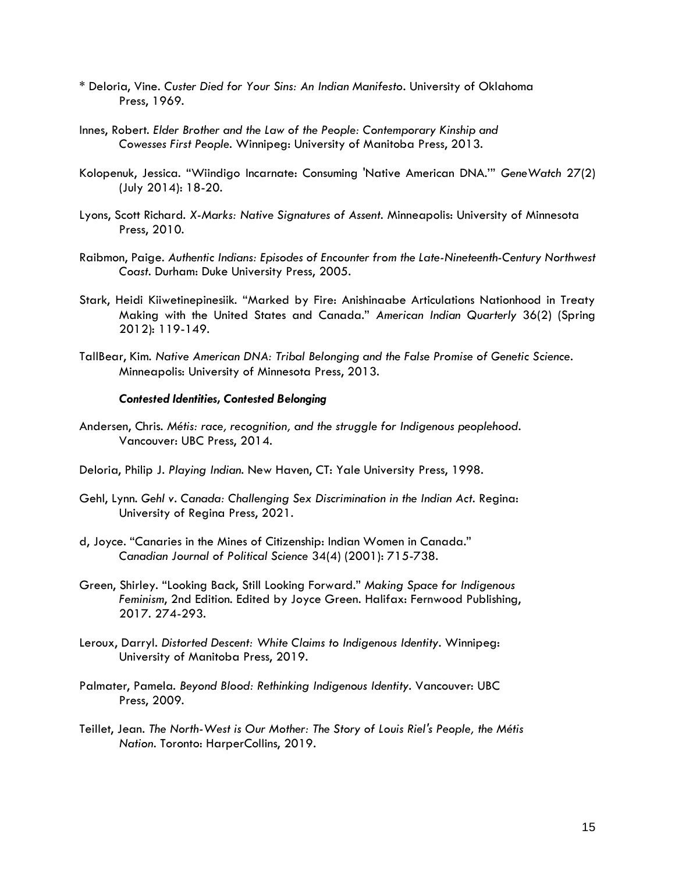- \* Deloria, Vine. *Custer Died for Your Sins: An Indian Manifesto*. University of Oklahoma Press, 1969.
- Innes, Robert. *Elder Brother and the Law of the People: Contemporary Kinship and Cowesses First People*. Winnipeg: University of Manitoba Press, 2013.
- Kolopenuk, Jessica. "Wiindigo Incarnate: Consuming 'Native American DNA.'" *GeneWatch* 27(2) (July 2014): 18-20.
- Lyons, Scott Richard. *X-Marks: Native Signatures of Assent.* Minneapolis: University of Minnesota Press, 2010.
- Raibmon, Paige. *Authentic Indians: Episodes of Encounter from the Late-Nineteenth-Century Northwest Coast*. Durham: Duke University Press, 2005.
- Stark, Heidi Kiiwetinepinesiik. "Marked by Fire: Anishinaabe Articulations Nationhood in Treaty Making with the United States and Canada." *American Indian Quarterly* 36(2) (Spring 2012): 119-149.
- TallBear, Kim. *Native American DNA: Tribal Belonging and the False Promise of Genetic Science*. Minneapolis: University of Minnesota Press, 2013.

#### *Contested Identities, Contested Belonging*

- Andersen, Chris. *Métis: race, recognition, and the struggle for Indigenous peoplehood*. Vancouver: UBC Press, 2014.
- Deloria, Philip J. *Playing Indian*. New Haven, CT: Yale University Press, 1998.
- Gehl, Lynn. *Gehl v. Canada: Challenging Sex Discrimination in the Indian Act*. Regina: University of Regina Press, 2021.
- d, Joyce. "Canaries in the Mines of Citizenship: Indian Women in Canada." *Canadian Journal of Political Science* 34(4) (2001): 715-738.
- Green, Shirley. "Looking Back, Still Looking Forward." *Making Space for Indigenous Feminism*, 2nd Edition. Edited by Joyce Green. Halifax: Fernwood Publishing, 2017. 274-293.
- Leroux, Darryl. *Distorted Descent: White Claims to Indigenous Identity*. Winnipeg: University of Manitoba Press, 2019.
- Palmater, Pamela. *Beyond Blood: Rethinking Indigenous Identity*. Vancouver: UBC Press, 2009.
- Teillet, Jean. *The North-West is Our Mother: The Story of Louis Riel's People, the Métis Nation*. Toronto: HarperCollins, 2019.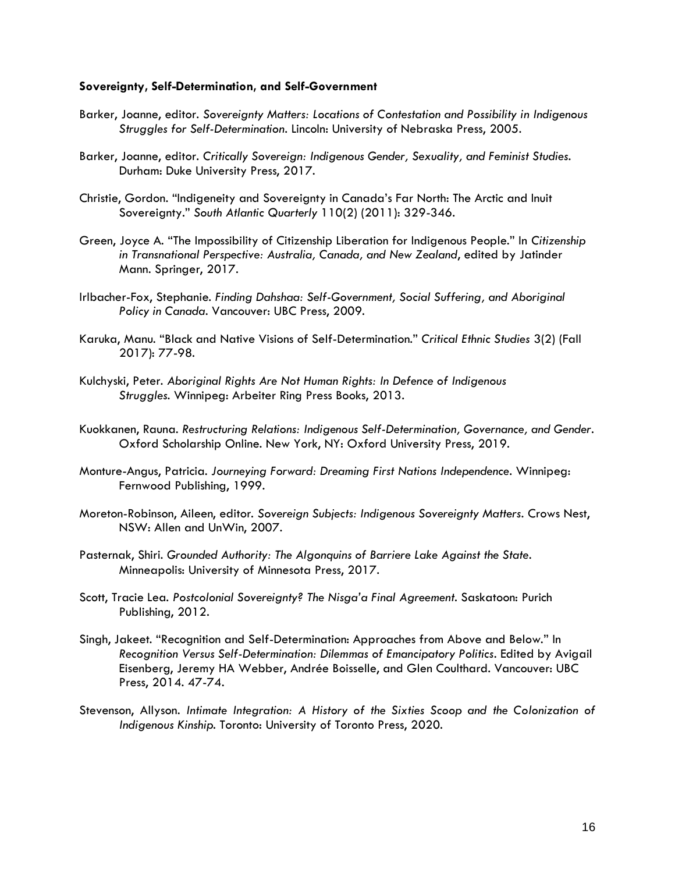#### **Sovereignty, Self-Determination, and Self-Government**

- Barker, Joanne, editor. *Sovereignty Matters: Locations of Contestation and Possibility in Indigenous Struggles for Self-Determination*. Lincoln: University of Nebraska Press, 2005.
- Barker, Joanne, editor. *Critically Sovereign: Indigenous Gender, Sexuality, and Feminist Studies*. Durham: Duke University Press, 2017.
- Christie, Gordon. "Indigeneity and Sovereignty in Canada's Far North: The Arctic and Inuit Sovereignty." *South Atlantic Quarterly* 110(2) (2011): 329-346.
- Green, Joyce A. "The Impossibility of Citizenship Liberation for Indigenous People." In *Citizenship in Transnational Perspective: Australia, Canada, and New Zealand*, edited by Jatinder Mann. Springer, 2017.
- Irlbacher-Fox, Stephanie. *Finding Dahshaa: Self-Government, Social Suffering, and Aboriginal Policy in Canada*. Vancouver: UBC Press, 2009.
- Karuka, Manu. "Black and Native Visions of Self-Determination." *Critical Ethnic Studies* 3(2) (Fall 2017): 77-98.
- Kulchyski, Peter. *Aboriginal Rights Are Not Human Rights: In Defence of Indigenous Struggles*. Winnipeg: Arbeiter Ring Press Books, 2013.
- Kuokkanen, Rauna. *Restructuring Relations: Indigenous Self-Determination, Governance, and Gender*. Oxford Scholarship Online. New York, NY: Oxford University Press, 2019.
- Monture-Angus, Patricia. *Journeying Forward: Dreaming First Nations Independence*. Winnipeg: Fernwood Publishing, 1999.
- Moreton-Robinson, Aileen, editor. *Sovereign Subjects: Indigenous Sovereignty Matters*. Crows Nest, NSW: Allen and UnWin, 2007.
- Pasternak, Shiri. *Grounded Authority: The Algonquins of Barriere Lake Against the State*. Minneapolis: University of Minnesota Press, 2017.
- Scott, Tracie Lea. *Postcolonial Sovereignty? The Nisga'a Final Agreement*. Saskatoon: Purich Publishing, 2012.
- Singh, Jakeet. "Recognition and Self-Determination: Approaches from Above and Below." In *Recognition Versus Self-Determination: Dilemmas of Emancipatory Politics*. Edited by Avigail Eisenberg, Jeremy HA Webber, Andrée Boisselle, and Glen Coulthard. Vancouver: UBC Press, 2014. 47-74.
- Stevenson, Allyson. *Intimate Integration: A History of the Sixties Scoop and the Colonization of Indigenous Kinship*. Toronto: University of Toronto Press, 2020.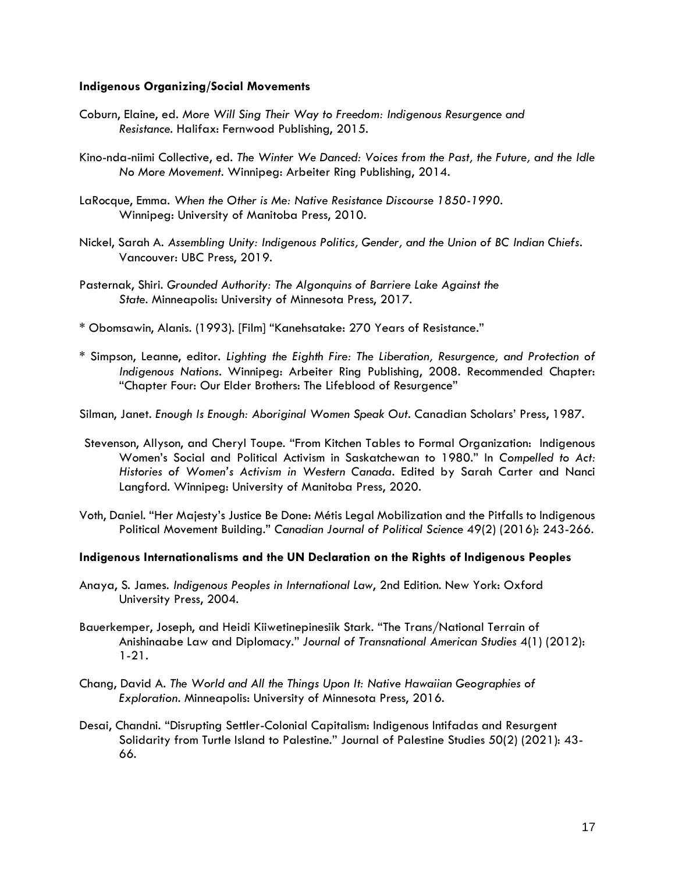### **Indigenous Organizing/Social Movements**

- Coburn, Elaine, ed. *More Will Sing Their Way to Freedom: Indigenous Resurgence and Resistance*. Halifax: Fernwood Publishing, 2015.
- Kino-nda-niimi Collective, ed. *The Winter We Danced: Voices from the Past, the Future, and the Idle No More Movement*. Winnipeg: Arbeiter Ring Publishing, 2014.
- LaRocque, Emma. *When the Other is Me: Native Resistance Discourse 1850-1990*. Winnipeg: University of Manitoba Press, 2010.
- Nickel, Sarah A. *Assembling Unity: Indigenous Politics, Gender, and the Union of BC Indian Chiefs*. Vancouver: UBC Press, 2019.
- Pasternak, Shiri. *Grounded Authority: The Algonquins of Barriere Lake Against the State*. Minneapolis: University of Minnesota Press, 2017.
- \* Obomsawin, Alanis. (1993). [Film] "Kanehsatake: 270 Years of Resistance."
- \* Simpson, Leanne, editor. *Lighting the Eighth Fire: The Liberation, Resurgence, and Protection of Indigenous Nations*. Winnipeg: Arbeiter Ring Publishing, 2008. Recommended Chapter: "Chapter Four: Our Elder Brothers: The Lifeblood of Resurgence"
- Silman, Janet. *Enough Is Enough: Aboriginal Women Speak Out*. Canadian Scholars' Press, 1987.
- Stevenson, Allyson, and Cheryl Toupe. "From Kitchen Tables to Formal Organization: Indigenous Women's Social and Political Activism in Saskatchewan to 1980." In *Compelled to Act: Histories of Women's Activism in Western Canada*. Edited by Sarah Carter and Nanci Langford. Winnipeg: University of Manitoba Press, 2020.
- Voth, Daniel. "Her Majesty's Justice Be Done: Métis Legal Mobilization and the Pitfalls to Indigenous Political Movement Building." *Canadian Journal of Political Science* 49(2) (2016): 243-266.

## **Indigenous Internationalisms and the UN Declaration on the Rights of Indigenous Peoples**

- Anaya, S. James. *Indigenous Peoples in International Law*, 2nd Edition. New York: Oxford University Press, 2004.
- Bauerkemper, Joseph, and Heidi Kiiwetinepinesiik Stark. "The Trans/National Terrain of Anishinaabe Law and Diplomacy." *Journal of Transnational American Studies* 4(1) (2012): 1-21.
- Chang, David A. *The World and All the Things Upon It: Native Hawaiian Geographies of Exploration*. Minneapolis: University of Minnesota Press, 2016.
- Desai, Chandni. "Disrupting Settler-Colonial Capitalism: Indigenous Intifadas and Resurgent Solidarity from Turtle Island to Palestine." Journal of Palestine Studies 50(2) (2021): 43- 66.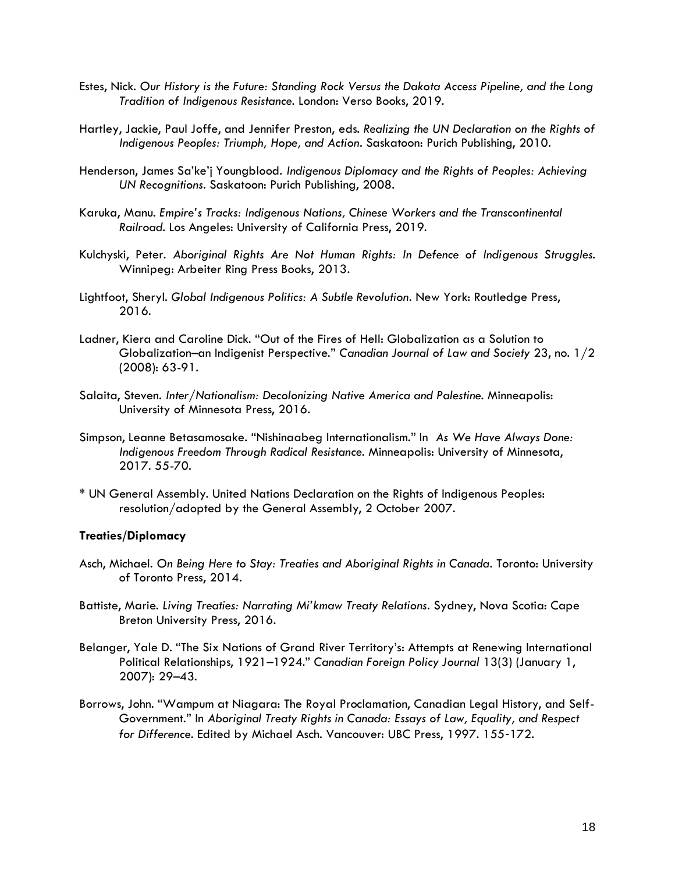- Estes, Nick. *Our History is the Future: Standing Rock Versus the Dakota Access Pipeline, and the Long Tradition of Indigenous Resistance*. London: Verso Books, 2019.
- Hartley, Jackie, Paul Joffe, and Jennifer Preston, eds. *Realizing the UN Declaration on the Rights of Indigenous Peoples: Triumph, Hope, and Action*. Saskatoon: Purich Publishing, 2010.
- Henderson, James Sa'ke'j Youngblood. *Indigenous Diplomacy and the Rights of Peoples: Achieving UN Recognitions*. Saskatoon: Purich Publishing, 2008.
- Karuka, Manu. *Empire's Tracks: Indigenous Nations, Chinese Workers and the Transcontinental Railroad*. Los Angeles: University of California Press, 2019.
- Kulchyski, Peter. *Aboriginal Rights Are Not Human Rights: In Defence of Indigenous Struggles*. Winnipeg: Arbeiter Ring Press Books, 2013.
- Lightfoot, Sheryl. *Global Indigenous Politics: A Subtle Revolution*. New York: Routledge Press, 2016.
- Ladner, Kiera and Caroline Dick. "Out of the Fires of Hell: Globalization as a Solution to Globalization–an Indigenist Perspective." *Canadian Journal of Law and Society* 23, no. 1/2 (2008): 63-91.
- Salaita, Steven. *Inter/Nationalism: Decolonizing Native America and Palestine*. Minneapolis: University of Minnesota Press, 2016.
- Simpson, Leanne Betasamosake. "Nishinaabeg Internationalism." In *As We Have Always Done: Indigenous Freedom Through Radical Resistance*. Minneapolis: University of Minnesota, 2017. 55-70.
- \* UN General Assembly. United Nations Declaration on the Rights of Indigenous Peoples: resolution/adopted by the General Assembly, 2 October 2007.

#### **Treaties/Diplomacy**

- Asch, Michael. *On Being Here to Stay: Treaties and Aboriginal Rights in Canada*. Toronto: University of Toronto Press, 2014.
- Battiste, Marie. *Living Treaties: Narrating Mi'kmaw Treaty Relations*. Sydney, Nova Scotia: Cape Breton University Press, 2016.
- Belanger, Yale D. "The Six Nations of Grand River Territory's: Attempts at Renewing International Political Relationships, 1921–1924." *Canadian Foreign Policy Journal* 13(3) (January 1, 2007): 29–43.
- Borrows, John. "Wampum at Niagara: The Royal Proclamation, Canadian Legal History, and Self-Government." In *Aboriginal Treaty Rights in Canada: Essays of Law, Equality, and Respect for Difference*. Edited by Michael Asch. Vancouver: UBC Press, 1997. 155‐172.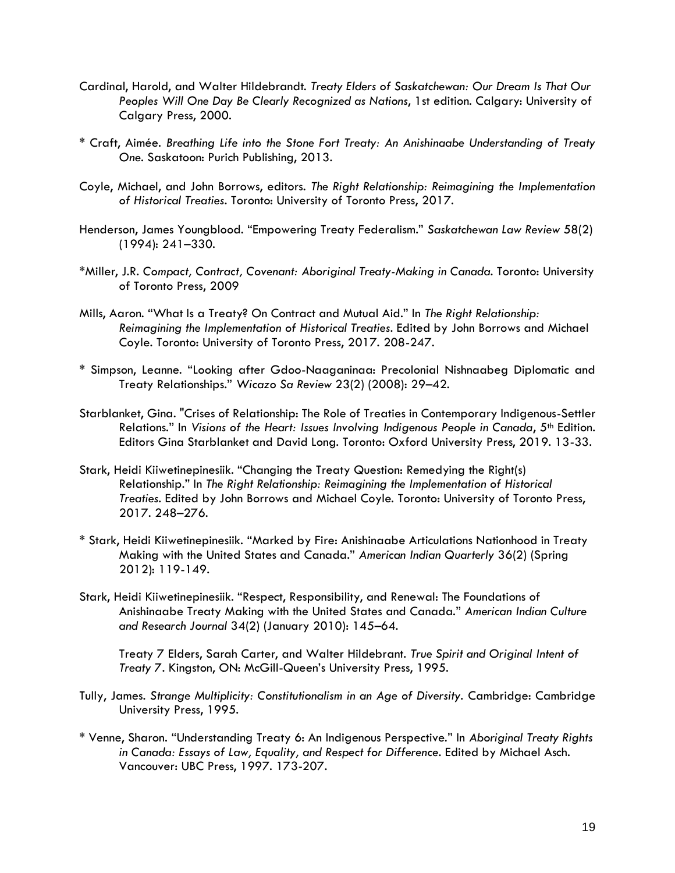- Cardinal, Harold, and Walter Hildebrandt. *Treaty Elders of Saskatchewan: Our Dream Is That Our Peoples Will One Day Be Clearly Recognized as Nations*, 1st edition. Calgary: University of Calgary Press, 2000.
- \* Craft, Aimée. *Breathing Life into the Stone Fort Treaty: An Anishinaabe Understanding of Treaty One*. Saskatoon: Purich Publishing, 2013.
- Coyle, Michael, and John Borrows, editors. *The Right Relationship: Reimagining the Implementation of Historical Treaties*. Toronto: University of Toronto Press, 2017[.](http://myaccess.library.utoronto.ca/login?url=http://books.scholarsportal.info/viewdoc.html?id=/ebooks/ebooks3/utpress/2017-07-05/1/9781442630222)
- Henderson, James Youngblood. "Empowering Treaty Federalism." *Saskatchewan Law Review* 58(2) (1994): 241–330.
- \*Miller, J.R. *Compact, Contract, Covenant: Aboriginal Treaty-Making in Canada*. Toronto: University of Toronto Press, 2009
- Mills, Aaron. "What Is a Treaty? On Contract and Mutual Aid." In *The Right Relationship: Reimagining the Implementation of Historical Treaties*. Edited by John Borrows and Michael Coyle. Toronto: University of Toronto Press, 2017. 208-247.
- \* Simpson, Leanne. "Looking after Gdoo-Naaganinaa: Precolonial Nishnaabeg Diplomatic and Treaty Relationships." *Wicazo Sa Review* 23(2) (2008): 29–42.
- Starblanket, Gina. "Crises of Relationship: The Role of Treaties in Contemporary Indigenous-Settler Relations." In *Visions of the Heart: Issues Involving Indigenous People in Canada, 5<sup>th</sup> Edition.* Editors Gina Starblanket and David Long. Toronto: Oxford University Press, 2019. 13-33.
- Stark, Heidi Kiiwetinepinesiik. "Changing the Treaty Question: Remedying the Right(s) Relationship." In *The Right Relationship: Reimagining the Implementation of Historical Treaties*. Edited by John Borrows and Michael Coyle. Toronto: University of Toronto Press, 2017. 248–276.
- \* Stark, Heidi Kiiwetinepinesiik. "Marked by Fire: Anishinaabe Articulations Nationhood in Treaty Making with the United States and Canada." *American Indian Quarterly* 36(2) (Spring 2012): 119-149.
- Stark, Heidi Kiiwetinepinesiik. "Respect, Responsibility, and Renewal: The Foundations of Anishinaabe Treaty Making with the United States and Canada." *American Indian Culture and Research Journal* 34(2) (January 2010): 145–64.

Treaty 7 Elders, Sarah Carter, and Walter Hildebrant. *True Spirit and Original Intent of Treaty 7*. Kingston, ON: McGill-Queen's University Press, 1995.

- Tully, James. *Strange Multiplicity: Constitutionalism in an Age of Diversity.* Cambridge: Cambridge University Press, 1995.
- \* Venne, Sharon. "Understanding Treaty 6: An Indigenous Perspective." In *Aboriginal Treaty Rights in Canada: Essays of Law, Equality, and Respect for Difference*. Edited by Michael Asch. Vancouver: UBC Press, 1997. 173-207.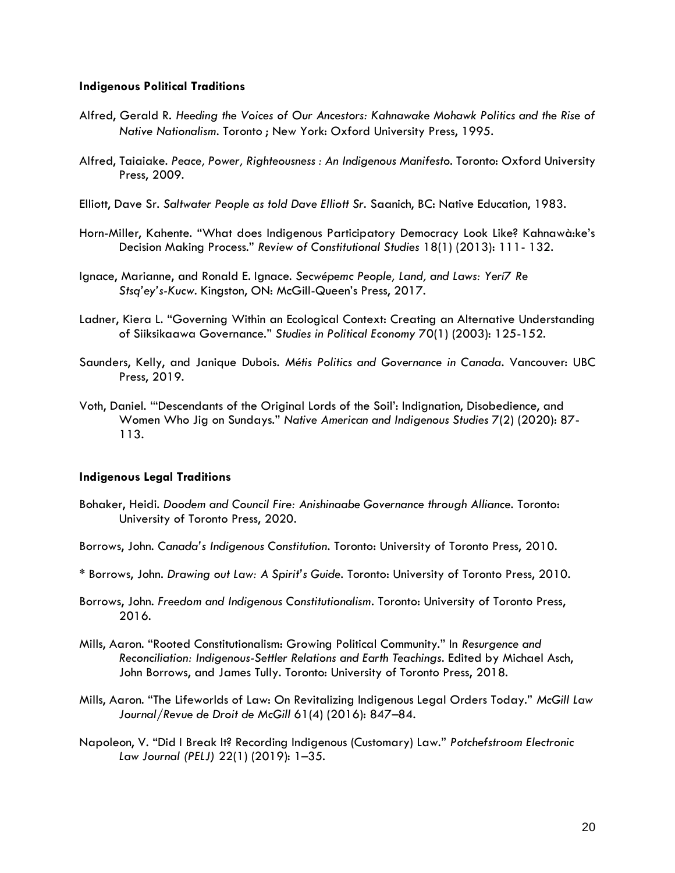#### **Indigenous Political Traditions**

- Alfred, Gerald R. *Heeding the Voices of Our Ancestors: Kahnawake Mohawk Politics and the Rise of Native Nationalism*. Toronto ; New York: Oxford University Press, 1995.
- Alfred, Taiaiake. *Peace, Power, Righteousness : An Indigenous Manifesto*. Toronto: Oxford University Press, 2009.
- Elliott, Dave Sr. *Saltwater People as told Dave Elliott Sr.* Saanich, BC: Native Education, 1983.
- Horn-Miller, Kahente. "What does Indigenous Participatory Democracy Look Like? Kahnawà:ke's Decision Making Process." *Review of Constitutional Studies* 18(1) (2013): 111- 132.
- Ignace, Marianne, and Ronald E. Ignace. *Secwépemc People, Land, and Laws: Yerí7 Re Stsq'ey's-Kucw*. Kingston, ON: McGill-Queen's Press, 2017.
- Ladner, Kiera L. "Governing Within an Ecological Context: Creating an Alternative Understanding of Siiksikaawa Governance." *Studies in Political Economy* 70(1) (2003): 125-152.
- Saunders, Kelly, and Janique Dubois. *Métis Politics and Governance in Canada*. Vancouver: UBC Press, 2019.
- Voth, Daniel. '"Descendants of the Original Lords of the Soil': Indignation, Disobedience, and Women Who Jig on Sundays." *Native American and Indigenous Studies* 7(2) (2020): 87- 113.

#### **Indigenous Legal Traditions**

- Bohaker, Heidi. *Doodem and Council Fire: Anishinaabe Governance through Alliance*. Toronto: University of Toronto Press, 2020.
- Borrows, John. *Canada's Indigenous Constitution*. Toronto: University of Toronto Press, 2010.
- \* Borrows, John. *Drawing out Law: A Spirit's Guide*. Toronto: University of Toronto Press, 2010.
- Borrows, John. *Freedom and Indigenous Constitutionalism*. Toronto: University of Toronto Press, 2016.
- Mills, Aaron. "Rooted Constitutionalism: Growing Political Community." In *Resurgence and Reconciliation: Indigenous-Settler Relations and Earth Teachings*. Edited by Michael Asch, John Borrows, and James Tully. Toronto: University of Toronto Press, 2018[.](http://myaccess.library.utoronto.ca/login?url=http://ebookcentral.proquest.com/lib/utoronto/detail.action?docID=5592950)
- Mills, Aaron. "The Lifeworlds of Law: On Revitalizing Indigenous Legal Orders Today." *McGill Law Journal/Revue de Droit de McGill* 61(4) (2016): 847–84.
- Napoleon, V. "Did I Break It? Recording Indigenous (Customary) Law." *Potchefstroom Electronic Law Journal (PELJ)* 22(1) (2019): 1–35[.](https://doi.org/10.17159/1727-3781/2019/v22i0a7588)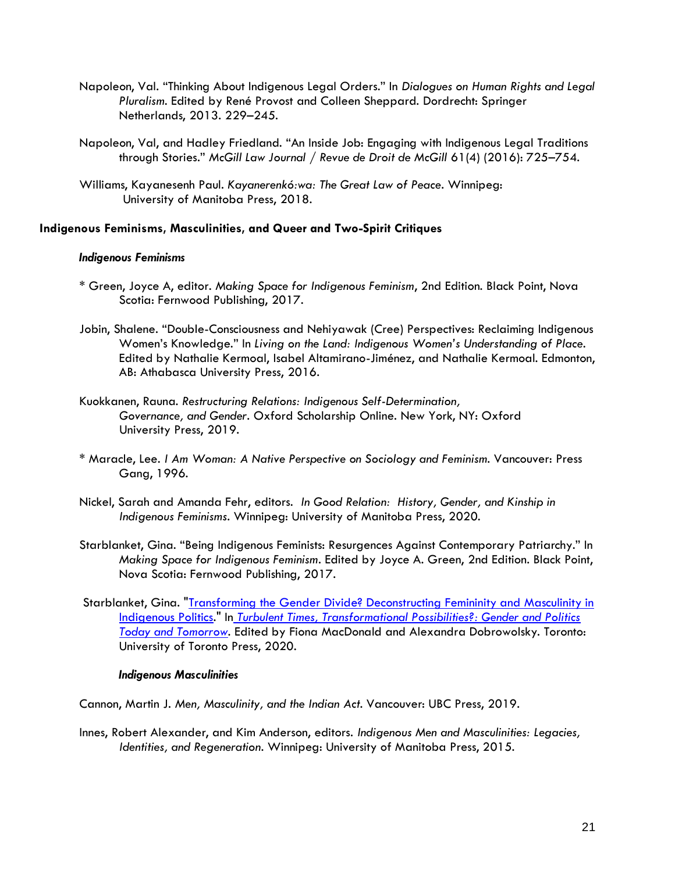- Napoleon, Val. "Thinking About Indigenous Legal Orders." In *Dialogues on Human Rights and Legal Pluralism*. Edited by René Provost and Colleen Sheppard. Dordrecht: Springer Netherlands, 201[3.](https://doi.org/10.1007/978-94-007-4710-4_11) 229–245.
- Napoleon, Val, and Hadley Friedland. "An Inside Job: Engaging with Indigenous Legal Traditions through Stories." *McGill Law Journal / Revue de Droit de McGill* 61(4) (2016): 725–754.
- Williams, Kayanesenh Paul. *Kayanerenkó:wa: The Great Law of Peace*. Winnipeg: University of Manitoba Press, 2018.

## **Indigenous Feminisms, Masculinities, and Queer and Two-Spirit Critiques**

## *Indigenous Feminisms*

- \* Green, Joyce A, editor. *Making Space for Indigenous Feminism*, 2nd Edition. Black Point, Nova Scotia: Fernwood Publishing, 2017.
- Jobin, Shalene. "Double-Consciousness and Nehiyawak (Cree) Perspectives: Reclaiming Indigenous Women's Knowledge." In *Living on the Land: Indigenous Women's Understanding of Place*. Edited by Nathalie Kermoal, Isabel Altamirano-Jiménez, and Nathalie Kermoal. Edmonton, AB: Athabasca University Press, 2016.
- Kuokkanen, Rauna. *Restructuring Relations: Indigenous Self-Determination, Governance, and Gender*. Oxford Scholarship Online. New York, NY: Oxford University Press, 2019.
- \* Maracle, Lee. *I Am Woman: A Native Perspective on Sociology and Feminism*. Vancouver: Press Gang, 1996.
- Nickel, Sarah and Amanda Fehr, editors. *In Good Relation: History, Gender, and Kinship in Indigenous Feminisms*. Winnipeg: University of Manitoba Press, 2020.
- Starblanket, Gina. "Being Indigenous Feminists: Resurgences Against Contemporary Patriarchy." In *Making Space for Indigenous Feminism*. Edited by Joyce A. Green, 2nd Edition. Black Point, Nova Scotia: Fernwood Publishing, 2017.
- Starblanket, Gina. "Transforming the Gender Divide? Deconstructing Femininity and Masculinity in [Indigenous Politics.](https://poli.ucalgary.ca/manageprofile/research/publications/view/1-10386175)" I[n](https://poli.ucalgary.ca/manageprofile/research/publications/view/1-10386167) *[Turbulent Times, Transformational Possibilities?: Gender and Politics](https://poli.ucalgary.ca/manageprofile/research/publications/view/1-10386167)  [Today and Tomorrow.](https://poli.ucalgary.ca/manageprofile/research/publications/view/1-10386167)* Edited by Fiona MacDonald and Alexandra Dobrowolsky. Toronto: University of Toronto Press, 2020.

## *Indigenous Masculinities*

Cannon, Martin J. *Men, Masculinity, and the Indian Act*. Vancouver: UBC Press, 2019.

Innes, Robert Alexander, and Kim Anderson, editors. *Indigenous Men and Masculinities: Legacies, Identities, and Regeneration*. Winnipeg: University of Manitoba Press, 2015.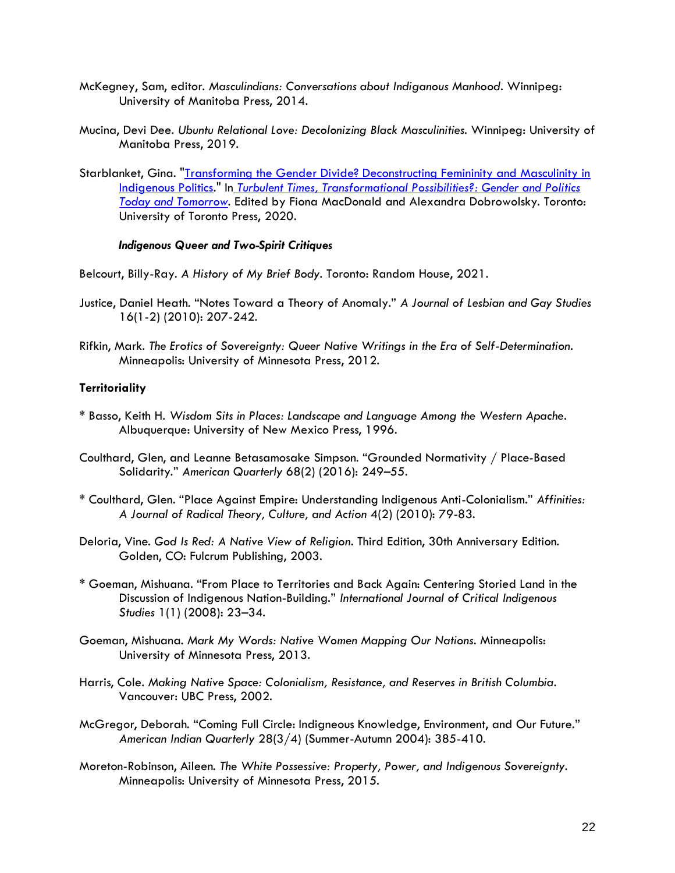- McKegney, Sam, editor. *Masculindians: Conversations about Indiganous Manhood*. Winnipeg: University of Manitoba Press, 2014.
- Mucina, Devi Dee. *Ubuntu Relational Love: Decolonizing Black Masculinities*. Winnipeg: University of Manitoba Press, 2019.
- Starblanket, Gina. ["Transforming the Gender Divide? Deconstructing Femininity and Masculinity in](https://poli.ucalgary.ca/manageprofile/research/publications/view/1-10386175)  [Indigenous Politics.](https://poli.ucalgary.ca/manageprofile/research/publications/view/1-10386175)" I[n](https://poli.ucalgary.ca/manageprofile/research/publications/view/1-10386167) *[Turbulent Times, Transformational Possibilities?: Gender and Politics](https://poli.ucalgary.ca/manageprofile/research/publications/view/1-10386167)  [Today and Tomorrow.](https://poli.ucalgary.ca/manageprofile/research/publications/view/1-10386167)* Edited by Fiona MacDonald and Alexandra Dobrowolsky. Toronto: University of Toronto Press, 2020.

#### *Indigenous Queer and Two-Spirit Critiques*

Belcourt, Billy-Ray. *A History of My Brief Body*. Toronto: Random House, 2021.

- Justice, Daniel Heath. "Notes Toward a Theory of Anomaly." *A Journal of Lesbian and Gay Studies* 16(1-2) (2010): 207-242.
- Rifkin, Mark. *The Erotics of Sovereignty: Queer Native Writings in the Era of Self-Determination*. Minneapolis: University of Minnesota Press, 2012.

## **Territoriality**

- \* Basso, Keith H. *Wisdom Sits in Places: Landscape and Language Among the Western Apache*. Albuquerque: University of New Mexico Press, 1996.
- Coulthard, Glen, and Leanne Betasamosake Simpson. "Grounded Normativity / Place-Based Solidarity." *American Quarterly* 68(2) (2016): 249–55.
- \* Coulthard, Glen. "Place Against Empire: Understanding Indigenous Anti-Colonialism." *Affinities: A Journal of Radical Theory, Culture, and Action* 4(2) (2010): 79-83.
- Deloria, Vine. *God Is Red: A Native View of Religion*. Third Edition, 30th Anniversary Edition. Golden, CO: Fulcrum Publishing, 2003.
- \* Goeman, Mishuana. "From Place to Territories and Back Again: Centering Storied Land in the Discussion of Indigenous Nation-Building." *International Journal of Critical Indigenous Studies* 1(1) (2008): 23–34.
- Goeman, Mishuana. *Mark My Words: Native Women Mapping Our Nations*. Minneapolis: University of Minnesota Press, 2013.
- Harris, Cole. *Making Native Space: Colonialism, Resistance, and Reserves in British Columbia*. Vancouver: UBC Press, 2002.
- McGregor, Deborah. "Coming Full Circle: Indigneous Knowledge, Environment, and Our Future." *American Indian Quarterly* 28(3/4) (Summer-Autumn 2004): 385-410.
- Moreton-Robinson, Aileen. *The White Possessive: Property, Power, and Indigenous Sovereignty*. Minneapolis: University of Minnesota Press, 2015.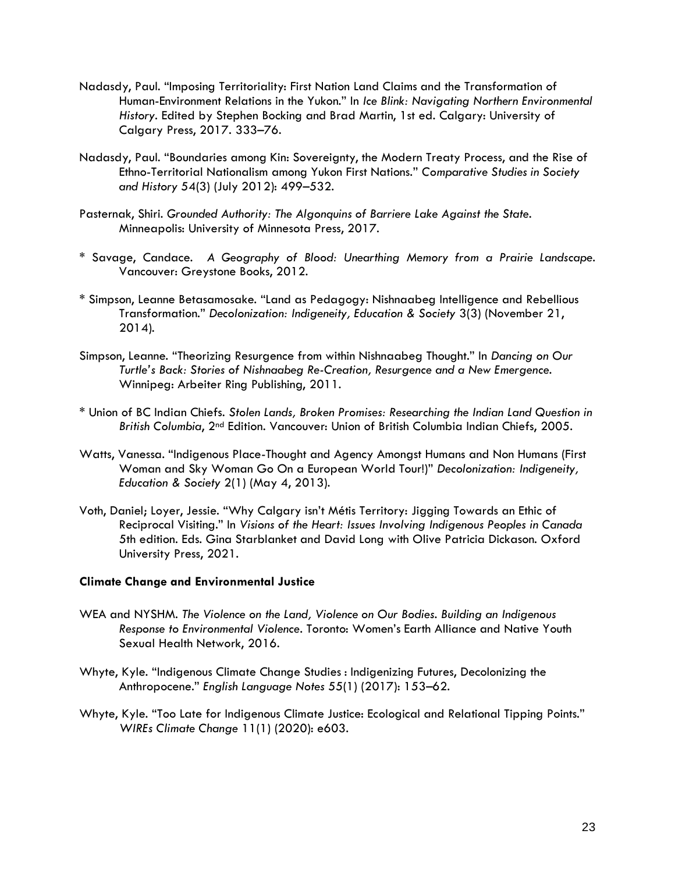- Nadasdy, Paul. "Imposing Territoriality: First Nation Land Claims and the Transformation of Human-Environment Relations in the Yukon." In *Ice Blink: Navigating Northern Environmental History*. Edited by Stephen Bocking and Brad Martin, 1st ed. Calgary: University of Calgary Press, 2017. [3](https://doi.org/10.2307/j.ctv6cfrkx)33–76.
- Nadasdy, Paul. "Boundaries among Kin: Sovereignty, the Modern Treaty Process, and the Rise of Ethno-Territorial Nationalism among Yukon First Nations." *Comparative Studies in Society and History* 54(3) (July 2012): 499–532.
- Pasternak, Shiri. *Grounded Authority: The Algonquins of Barriere Lake Against the State*. Minneapolis: University of Minnesota Press, 2017.
- \* Savage, Candace. *A Geography of Blood: Unearthing Memory from a Prairie Landscape*. Vancouver: Greystone Books, 2012.
- \* Simpson, Leanne Betasamosake. "Land as Pedagogy: Nishnaabeg Intelligence and Rebellious Transformation." *Decolonization: Indigeneity, Education & Society* 3(3) (November 21, 2014).
- Simpson, Leanne. "Theorizing Resurgence from within Nishnaabeg Thought." In *Dancing on Our Turtle's Back: Stories of Nishnaabeg Re-Creation, Resurgence and a New Emergence*. Winnipeg: Arbeiter Ring Publishing, 2011.
- \* Union of BC Indian Chiefs. *Stolen Lands, Broken Promises: Researching the Indian Land Question in British Columbia*, 2nd Edition*.* Vancouver: Union of British Columbia Indian Chiefs, 2005.
- Watts, Vanessa. "Indigenous Place-Thought and Agency Amongst Humans and Non Humans (First Woman and Sky Woman Go On a European World Tour!)" *Decolonization: Indigeneity, Education & Society* 2(1) (May 4, 2013).
- Voth, Daniel; Loyer, Jessie. "Why Calgary isn't Métis Territory: Jigging Towards an Ethic of Reciprocal Visiting." In *Visions of the Heart: Issues Involving Indigenous Peoples in Canada* 5th edition. Eds. Gina Starblanket and David Long with Olive Patricia Dickason. Oxford University Press, 2021.

## **Climate Change and Environmental Justice**

- WEA and NYSHM. *The Violence on the Land, Violence on Our Bodies. Building an Indigenous Response to Environmental Violence*. Toronto: Women's Earth Alliance and Native Youth Sexual Health Network, 2016.
- Whyte, Kyle. "Indigenous Climate Change Studies : Indigenizing Futures, Decolonizing the Anthropocene." *English Language Notes* 55(1) (2017): 153–62.
- Whyte, Kyle. "Too Late for Indigenous Climate Justice: Ecological and Relational Tipping Points." *WIREs Climate Change* 11(1) (2020): e603[.](https://doi.org/10.1002/wcc.603)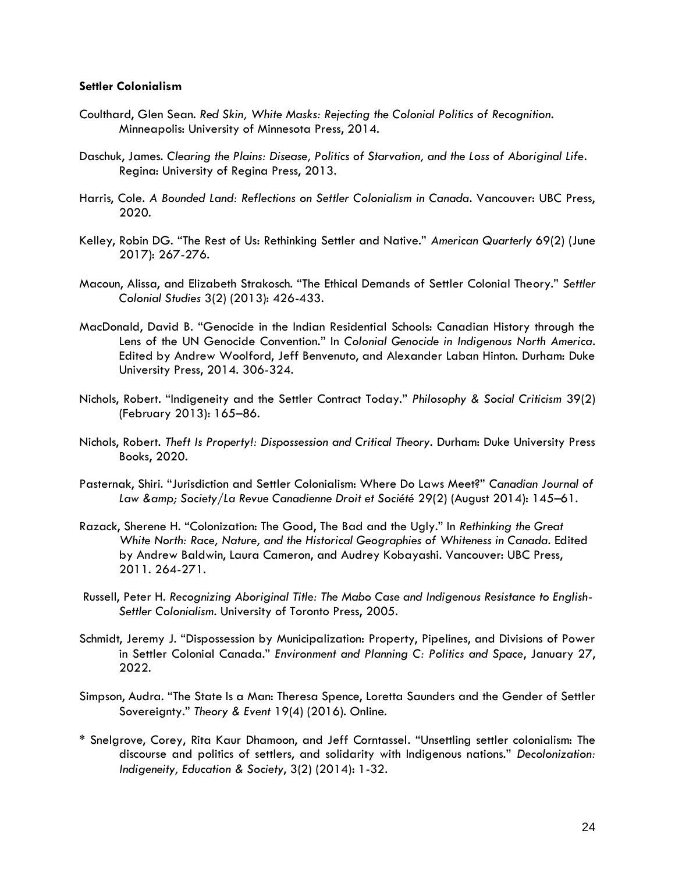#### **Settler Colonialism**

- Coulthard, Glen Sean. *Red Skin, White Masks: Rejecting the Colonial Politics of Recognition*. Minneapolis: University of Minnesota Press, 2014.
- Daschuk, James. *Clearing the Plains: Disease, Politics of Starvation, and the Loss of Aboriginal Life*. Regina: University of Regina Press, 2013.
- Harris, Cole. *A Bounded Land: Reflections on Settler Colonialism in Canada*. Vancouver: UBC Press, 2020.
- Kelley, Robin DG. "The Rest of Us: Rethinking Settler and Native." *American Quarterly* 69(2) (June 2017): 267-276.
- Macoun, Alissa, and Elizabeth Strakosch. "The Ethical Demands of Settler Colonial Theory." *Settler Colonial Studies* 3(2) (2013): 426-433.
- MacDonald, David B. "Genocide in the Indian Residential Schools: Canadian History through the Lens of the UN Genocide Convention." In *Colonial Genocide in Indigenous North America*. Edited by Andrew Woolford, Jeff Benvenuto, and Alexander Laban Hinton. Durham: Duke University Press, 2014. 306-324.
- Nichols, Robert. "Indigeneity and the Settler Contract Today." *Philosophy & Social Criticism* 39(2) (February 2013): 165–8[6.](https://doi.org/10.1177/0191453712470359)
- Nichols, Robert. *Theft Is Property!: Dispossession and Critical Theory*. Durham: Duke University Press Books, 2020.
- Pasternak, Shiri. "Jurisdiction and Settler Colonialism: Where Do Laws Meet?" *Canadian Journal of Law & Society/La Revue Canadienne Droit et Société* 29(2) (August 2014): 145–61.
- Razack, Sherene H. "Colonization: The Good, The Bad and the Ugly." In *Rethinking the Great White North: Race, Nature, and the Historical Geographies of Whiteness in Canada*. Edited by Andrew Baldwin, Laura Cameron, and Audrey Kobayashi. Vancouver: UBC Press, 2011. 264-271.
- Russell, Peter H. *Recognizing Aboriginal Title: The Mabo Case and Indigenous Resistance to English-Settler Colonialism*. University of Toronto Press, 2005.
- Schmidt, Jeremy J. "Dispossession by Municipalization: Property, Pipelines, and Divisions of Power in Settler Colonial Canada." *Environment and Planning C: Politics and Space*, January 27, 2022.
- Simpson, Audra. "The State Is a Man: Theresa Spence, Loretta Saunders and the Gender of Settler Sovereignty." *Theory & Event* 19(4) (2016). Online.
- \* Snelgrove, Corey, Rita Kaur Dhamoon, and Jeff Corntassel. "Unsettling settler colonialism: The discourse and politics of settlers, and solidarity with Indigenous nations." *Decolonization: Indigeneity, Education & Society*, 3(2) (2014): 1-32.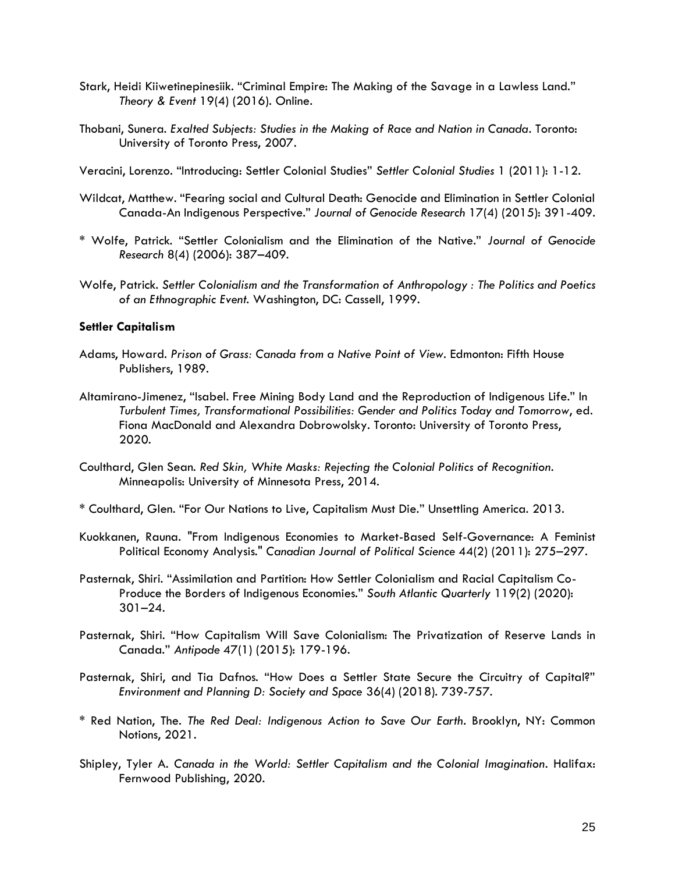- Stark, Heidi Kiiwetinepinesiik. "Criminal Empire: The Making of the Savage in a Lawless Land." *Theory & Event* 19(4) (2016). Online.
- Thobani, Sunera. *Exalted Subjects: Studies in the Making of Race and Nation in Canada*. Toronto: University of Toronto Press, 2007.
- Veracini, Lorenzo. "Introducing: Settler Colonial Studies" *Settler Colonial Studies* 1 (2011): 1-12.
- Wildcat, Matthew. "Fearing social and Cultural Death: Genocide and Elimination in Settler Colonial Canada-An Indigenous Perspective." *Journal of Genocide Research* 17(4) (2015): 391-409.
- \* Wolfe, Patrick. "Settler Colonialism and the Elimination of the Native." *Journal of Genocide Research* 8(4) (2006): 387–409.
- Wolfe, Patrick. *Settler Colonialism and the Transformation of Anthropology : The Politics and Poetics of an Ethnographic Event*. Washington, DC: Cassell, 1999.

## **Settler Capitalism**

- Adams, Howard. *Prison of Grass: Canada from a Native Point of View*. Edmonton: Fifth House Publishers, 1989.
- Altamirano-Jimenez, "Isabel. Free Mining Body Land and the Reproduction of Indigenous Life." In *Turbulent Times, Transformational Possibilities: Gender and Politics Today and Tomorrow*, ed. Fiona MacDonald and Alexandra Dobrowolsky. Toronto: University of Toronto Press, 2020.
- Coulthard, Glen Sean. *Red Skin, White Masks: Rejecting the Colonial Politics of Recognition*. Minneapolis: University of Minnesota Press, 2014.
- \* Coulthard, Glen. "For Our Nations to Live, Capitalism Must Die." Unsettling America. 2013.
- Kuokkanen, Rauna. "From Indigenous Economies to Market-Based Self-Governance: A Feminist Political Economy Analysis." *Canadian Journal of Political Science* 44(2) (2011): 275–297.
- Pasternak, Shiri. "Assimilation and Partition: How Settler Colonialism and Racial Capitalism Co-Produce the Borders of Indigenous Economies." *South Atlantic Quarterly* 119(2) (2020): 301–24.
- Pasternak, Shiri. "How Capitalism Will Save Colonialism: The Privatization of Reserve Lands in Canada." *Antipode* 47(1) (2015): 179-196.
- Pasternak, Shiri, and Tia Dafnos. "How Does a Settler State Secure the Circuitry of Capital?" *Environment and Planning D: Society and Space* 36(4) (2018). 739-757.
- \* Red Nation, The. *The Red Deal: Indigenous Action to Save Our Earth*. Brooklyn, NY: Common Notions, 2021.
- Shipley, Tyler A. *Canada in the World: Settler Capitalism and the Colonial Imagination*. Halifax: Fernwood Publishing, 2020.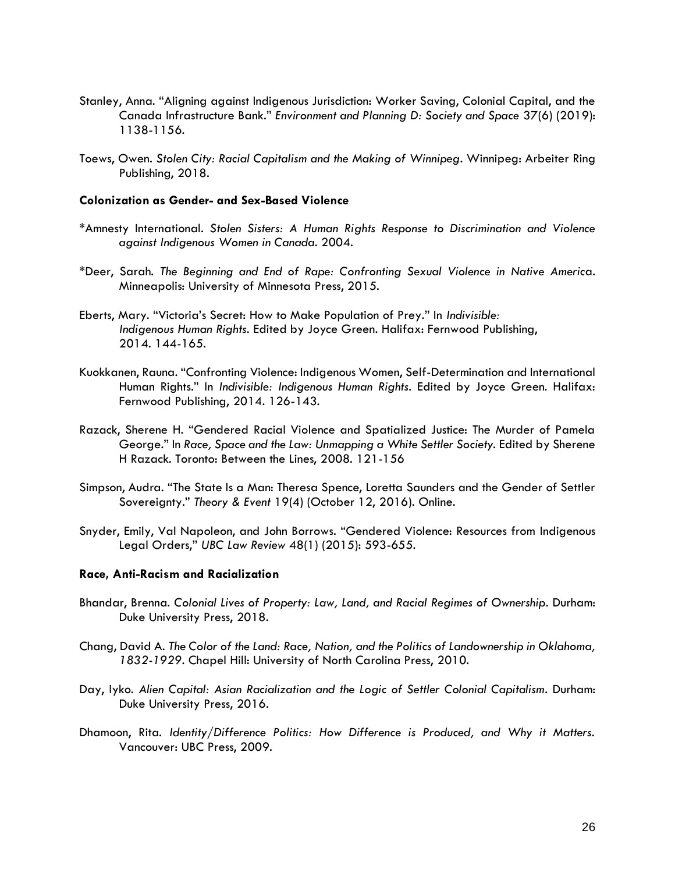- Stanley, Anna. "Aligning against Indigenous Jurisdiction: Worker Saving, Colonial Capital, and the Canada Infrastructure Bank." *Environment and Planning D: Society and Space* 37(6) (2019): 1138-1156.
- Toews, Owen. *Stolen City: Racial Capitalism and the Making of Winnipeg*. Winnipeg: Arbeiter Ring Publishing, 2018.

#### **Colonization as Gender- and Sex-Based Violence**

- \*Amnesty International. *Stolen Sisters: A Human Rights Response to Discrimination and Violence against Indigenous Women in Canada*. 2004.
- \*Deer, Sarah. *The Beginning and End of Rape: Confronting Sexual Violence in Native Americ*a. Minneapolis: University of Minnesota Press, 2015.
- Eberts, Mary. "Victoria's Secret: How to Make Population of Prey." In *Indivisible: Indigenous Human Rights.* Edited by Joyce Green. Halifax: Fernwood Publishing, 2014. 144-165.
- Kuokkanen, Rauna. "Confronting Violence: Indigenous Women, Self-Determination and International Human Rights." In *Indivisible: Indigenous Human Rights*. Edited by Joyce Green. Halifax: Fernwood Publishing, 2014. 126-143.
- Razack, Sherene H. "Gendered Racial Violence and Spatialized Justice: The Murder of Pamela George." In *Race, Space and the Law: Unmapping a White Settler Society.* Edited by Sherene H Razack. Toronto: Between the Lines, 2008. 121-156
- Simpson, Audra. "The State Is a Man: Theresa Spence, Loretta Saunders and the Gender of Settler Sovereignty." *Theory & Event* 19(4) (October 12, 2016). Online.
- Snyder, Emily, Val Napoleon, and John Borrows. "Gendered Violence: Resources from Indigenous Legal Orders," *UBC Law Review* 48(1) (2015): 593-655.

#### **Race, Anti-Racism and Racialization**

- Bhandar, Brenna. *Colonial Lives of Property: Law, Land, and Racial Regimes of Ownership*. Durham: Duke University Press, 2018.
- Chang, David A. *The Color of the Land: Race, Nation, and the Politics of Landownership in Oklahoma, 1832-1929*. Chapel Hill: University of North Carolina Press, 2010.
- Day, Iyko. *Alien Capital: Asian Racialization and the Logic of Settler Colonial Capitalism*. Durham: Duke University Press, 2016.
- Dhamoon, Rita. *Identity/Difference Politics: How Difference is Produced, and Why it Matters.* Vancouver: UBC Press, 2009.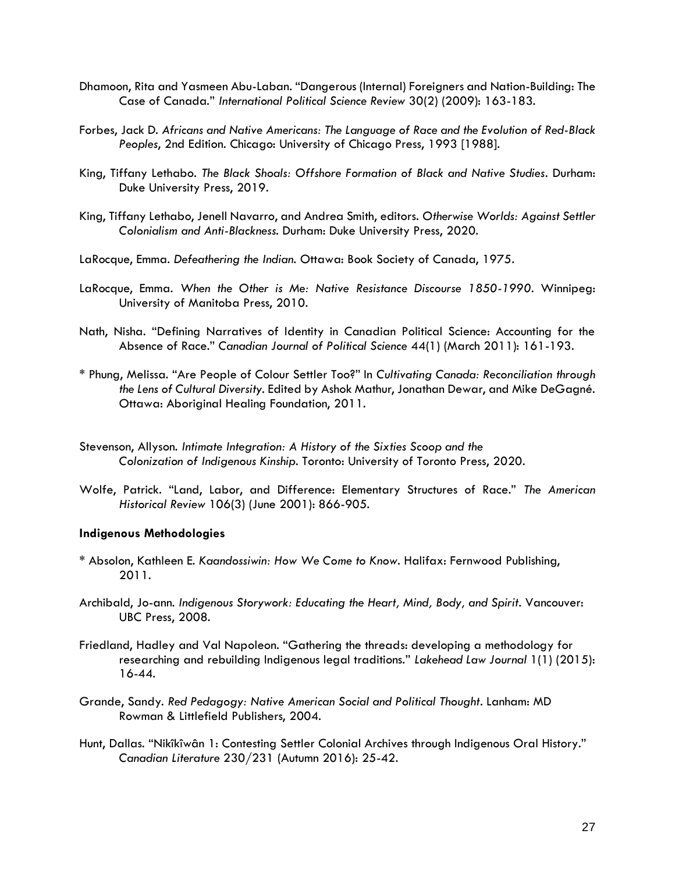- Dhamoon, Rita and Yasmeen Abu-Laban. "Dangerous (Internal) Foreigners and Nation-Building: The Case of Canada." *International Political Science Review* 30(2) (2009): 163-183.
- Forbes, Jack D. *Africans and Native Americans: The Language of Race and the Evolution of Red-Black Peoples*, 2nd Edition. Chicago: University of Chicago Press, 1993 [1988].
- King, Tiffany Lethabo. *The Black Shoals: Offshore Formation of Black and Native Studies*. Durham: Duke University Press, 2019.
- King, Tiffany Lethabo, Jenell Navarro, and Andrea Smith, editors. *Otherwise Worlds: Against Settler Colonialism and Anti-Blackness*. Durham: Duke University Press, 2020.
- LaRocque, Emma. *Defeathering the Indian*. Ottawa: Book Society of Canada, 1975.
- LaRocque, Emma. *When the Other is Me: Native Resistance Discourse 1850-1990*. Winnipeg: University of Manitoba Press, 2010.
- Nath, Nisha. "Defining Narratives of Identity in Canadian Political Science: Accounting for the Absence of Race." *Canadian Journal of Political Science* 44(1) (March 2011): 161-193.
- \* Phung, Melissa. "Are People of Colour Settler Too?" In *Cultivating Canada: Reconciliation through the Lens of Cultural Diversity*. Edited by Ashok Mathur, Jonathan Dewar, and Mike DeGagné. Ottawa: Aboriginal Healing Foundation, 2011.
- Stevenson, Allyson. *Intimate Integration: A History of the Sixties Scoop and the Colonization of Indigenous Kinship*. Toronto: University of Toronto Press, 2020.
- Wolfe, Patrick. "Land, Labor, and Difference: Elementary Structures of Race." *The American Historical Review* 106(3) (June 2001): 866-905.

## **Indigenous Methodologies**

- \* Absolon, Kathleen E. *Kaandossiwin: How We Come to Know*. Halifax: Fernwood Publishing, 2011.
- Archibald, Jo-ann. *Indigenous Storywork: Educating the Heart, Mind, Body, and Spirit*. Vancouver: UBC Press, 2008.
- Friedland, Hadley and Val Napoleon. "Gathering the threads: developing a methodology for researching and rebuilding Indigenous legal traditions." *Lakehead Law Journal* 1(1) (2015): 16-44.
- Grande, Sandy. *Red Pedagogy: Native American Social and Political Thought*. Lanham: MD Rowman & Littlefield Publishers, 2004.
- Hunt, Dallas. "Nikîkîwân 1: Contesting Settler Colonial Archives through Indigenous Oral History." *Canadian Literature* 230/231 (Autumn 2016): 25-42.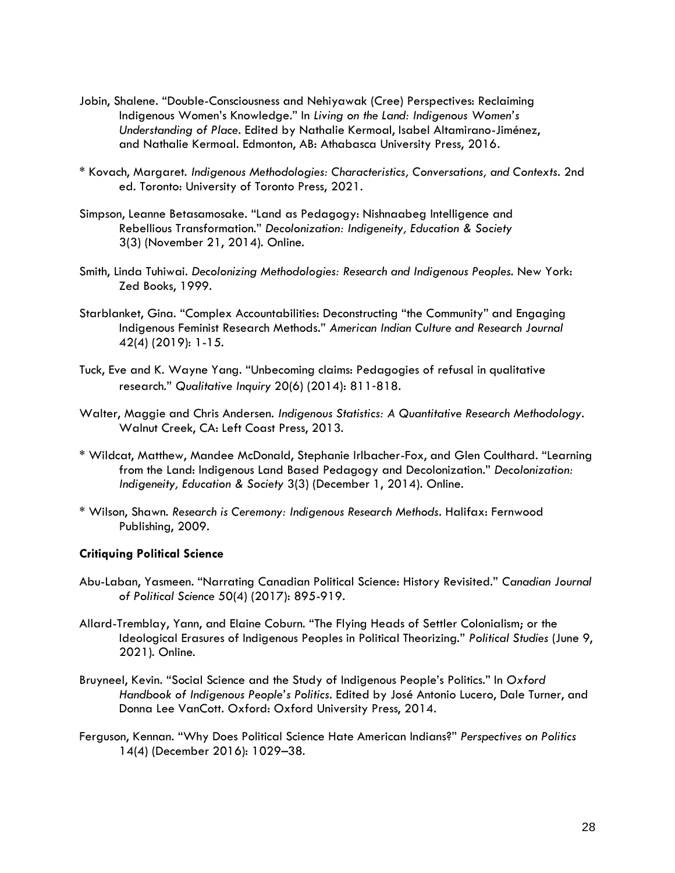- Jobin, Shalene. "Double-Consciousness and Nehiyawak (Cree) Perspectives: Reclaiming Indigenous Women's Knowledge." In *Living on the Land: Indigenous Women's Understanding of Place*. Edited by Nathalie Kermoal, Isabel Altamirano-Jiménez, and Nathalie Kermoal. Edmonton, AB: Athabasca University Press, 2016.
- \* Kovach, Margaret. *Indigenous Methodologies: Characteristics, Conversations, and Contexts*. 2nd ed. Toronto: University of Toronto Press, 2021.
- Simpson, Leanne Betasamosake. "Land as Pedagogy: Nishnaabeg Intelligence and Rebellious Transformation." *Decolonization: Indigeneity, Education & Society* 3(3) (November 21, 2014). [O](http://decolonization.org/index.php/des/article/download/22170)nline.
- Smith, Linda Tuhiwai. *Decolonizing Methodologies: Research and Indigenous Peoples*. New York: Zed Books, 1999.
- [Starblanket, Gina](https://poli.ucalgary.ca/manageprofile/profiles/1-8647471). ["Complex Accountabilities: Deconstructing "the Community" and Engaging](https://poli.ucalgary.ca/manageprofile/research/publications/view/1-9782742)  [Indigenous Feminist Research Methods](https://poli.ucalgary.ca/manageprofile/research/publications/view/1-9782742)." *American Indian Culture and Research Journal* 42(4) (2019): 1-15.
- Tuck, Eve and K. Wayne Yang. "Unbecoming claims: Pedagogies of refusal in qualitative research." *Qualitative Inquiry* 20(6) (2014): 811‐818.
- Walter, Maggie and Chris Andersen. *Indigenous Statistics: A Quantitative Research Methodology*. Walnut Creek, CA: Left Coast Press, 2013.
- \* Wildcat, Matthew, Mandee McDonald, Stephanie Irlbacher-Fox, and Glen Coulthard. "Learning from the Land: Indigenous Land Based Pedagogy and Decolonization." *Decolonization: Indigeneity, Education & Society* 3(3) (December 1, 2014[\).](http://decolonization.org/index.php/des/article/download/22248) Online.
- \* Wilson, Shawn. *Research is Ceremony: Indigenous Research Methods*. Halifax: Fernwood Publishing, 2009.

## **Critiquing Political Science**

- Abu-Laban, Yasmeen. "Narrating Canadian Political Science: History Revisited." *Canadian Journal of Political Science* 50(4) (2017): 895-919.
- Allard-Tremblay, Yann, and Elaine Coburn. "The Flying Heads of Settler Colonialism; or the Ideological Erasures of Indigenous Peoples in Political Theorizing." *Political Studies* (June 9, 2021). Online.
- Bruyneel, Kevin. "Social Science and the Study of Indigenous People's Politics." In *Oxford Handbook of Indigenous People's Politics*. Edited by José Antonio Lucero, Dale Turner, and Donna Lee VanCott. Oxford: Oxford University Press, 2014.
- Ferguson, Kennan. "Why Does Political Science Hate American Indians?" *Perspectives on Politics* 14(4) (December 2016): 1029–38.